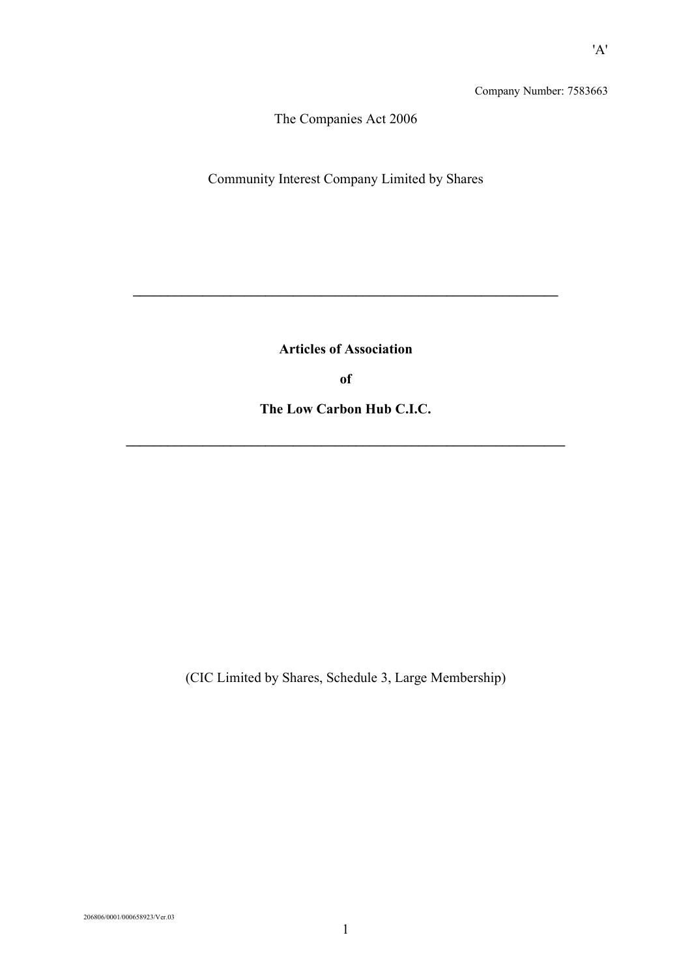Company Number: 7583663

The Companies Act 2006

Community Interest Company Limited by Shares

**Articles of Association**

**\_\_\_\_\_\_\_\_\_\_\_\_\_\_\_\_\_\_\_\_\_\_\_\_\_\_\_\_\_\_\_\_\_\_\_\_\_\_\_\_\_\_\_\_\_\_\_\_\_\_\_\_\_\_\_\_\_\_\_\_\_**

**of**

**The Low Carbon Hub C.I.C.**

**\_\_\_\_\_\_\_\_\_\_\_\_\_\_\_\_\_\_\_\_\_\_\_\_\_\_\_\_\_\_\_\_\_\_\_\_\_\_\_\_\_\_\_\_\_\_\_\_\_\_\_\_\_\_\_\_\_\_\_\_\_\_\_**

(CIC Limited by Shares, Schedule 3, Large Membership)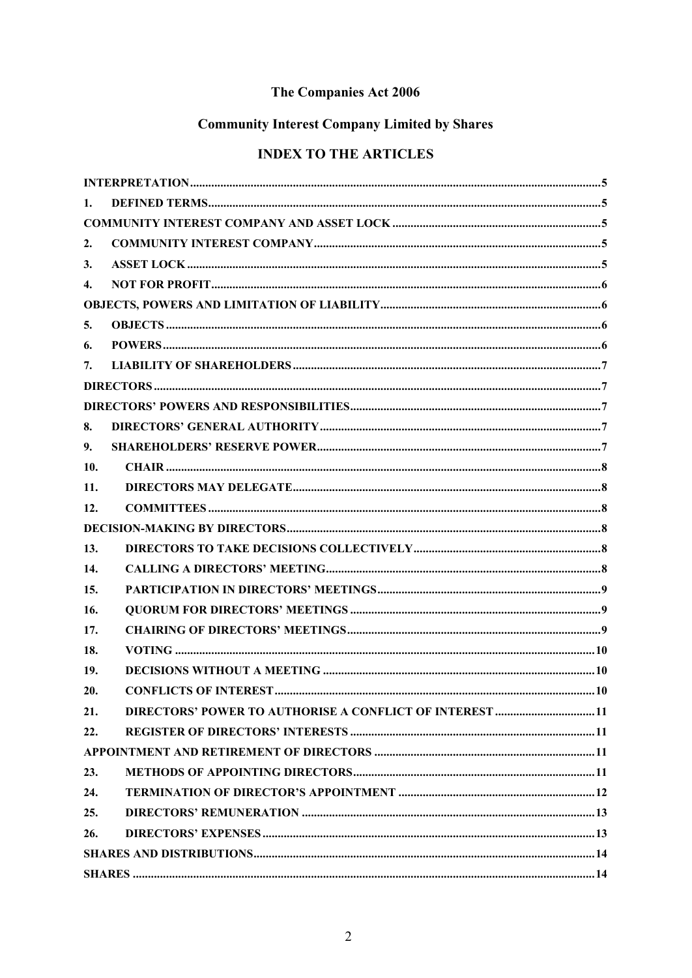# The Companies Act 2006

# **Community Interest Company Limited by Shares**

# **INDEX TO THE ARTICLES**

| 1.  |                                                                 |  |
|-----|-----------------------------------------------------------------|--|
|     |                                                                 |  |
| 2.  |                                                                 |  |
| 3.  |                                                                 |  |
| 4.  |                                                                 |  |
|     |                                                                 |  |
| 5.  |                                                                 |  |
| 6.  |                                                                 |  |
| 7.  |                                                                 |  |
|     |                                                                 |  |
|     |                                                                 |  |
| 8.  |                                                                 |  |
| 9.  |                                                                 |  |
| 10. |                                                                 |  |
| 11. |                                                                 |  |
| 12. |                                                                 |  |
|     |                                                                 |  |
| 13. |                                                                 |  |
| 14. |                                                                 |  |
| 15. |                                                                 |  |
| 16. |                                                                 |  |
| 17. |                                                                 |  |
| 18. |                                                                 |  |
| 19. |                                                                 |  |
| 20. |                                                                 |  |
| 21. | <b>DIRECTORS' POWER TO AUTHORISE A CONFLICT OF INTEREST  11</b> |  |
| 22. |                                                                 |  |
|     |                                                                 |  |
| 23. |                                                                 |  |
| 24. |                                                                 |  |
| 25. |                                                                 |  |
| 26. |                                                                 |  |
|     |                                                                 |  |
|     |                                                                 |  |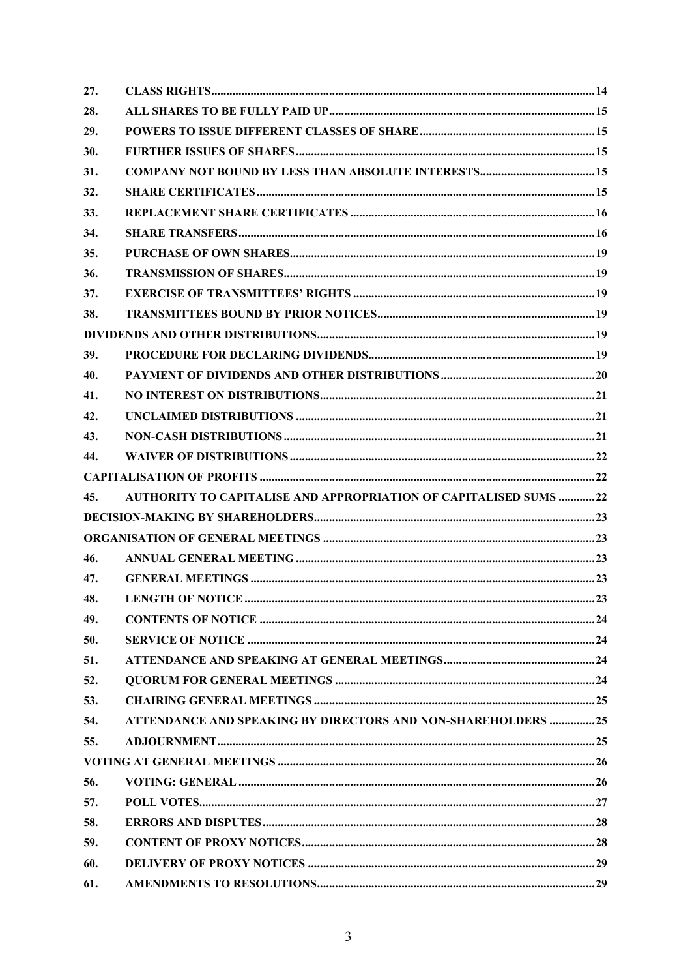| 27. |                                                                         |  |
|-----|-------------------------------------------------------------------------|--|
| 28. |                                                                         |  |
| 29. |                                                                         |  |
| 30. |                                                                         |  |
| 31. |                                                                         |  |
| 32. |                                                                         |  |
| 33. |                                                                         |  |
| 34. |                                                                         |  |
| 35. |                                                                         |  |
| 36. |                                                                         |  |
| 37. |                                                                         |  |
| 38. |                                                                         |  |
|     |                                                                         |  |
| 39. |                                                                         |  |
| 40. |                                                                         |  |
| 41. |                                                                         |  |
| 42. |                                                                         |  |
| 43. |                                                                         |  |
| 44. |                                                                         |  |
|     |                                                                         |  |
| 45. | <b>AUTHORITY TO CAPITALISE AND APPROPRIATION OF CAPITALISED SUMS 22</b> |  |
|     |                                                                         |  |
|     |                                                                         |  |
| 46. |                                                                         |  |
| 47. |                                                                         |  |
| 48. |                                                                         |  |
| 49. |                                                                         |  |
| 50. |                                                                         |  |
| 51. |                                                                         |  |
| 52. |                                                                         |  |
| 53. |                                                                         |  |
| 54. | <b>ATTENDANCE AND SPEAKING BY DIRECTORS AND NON-SHAREHOLDERS 25</b>     |  |
| 55. |                                                                         |  |
|     |                                                                         |  |
| 56. |                                                                         |  |
| 57. |                                                                         |  |
| 58. |                                                                         |  |
| 59. |                                                                         |  |
| 60. |                                                                         |  |
| 61. |                                                                         |  |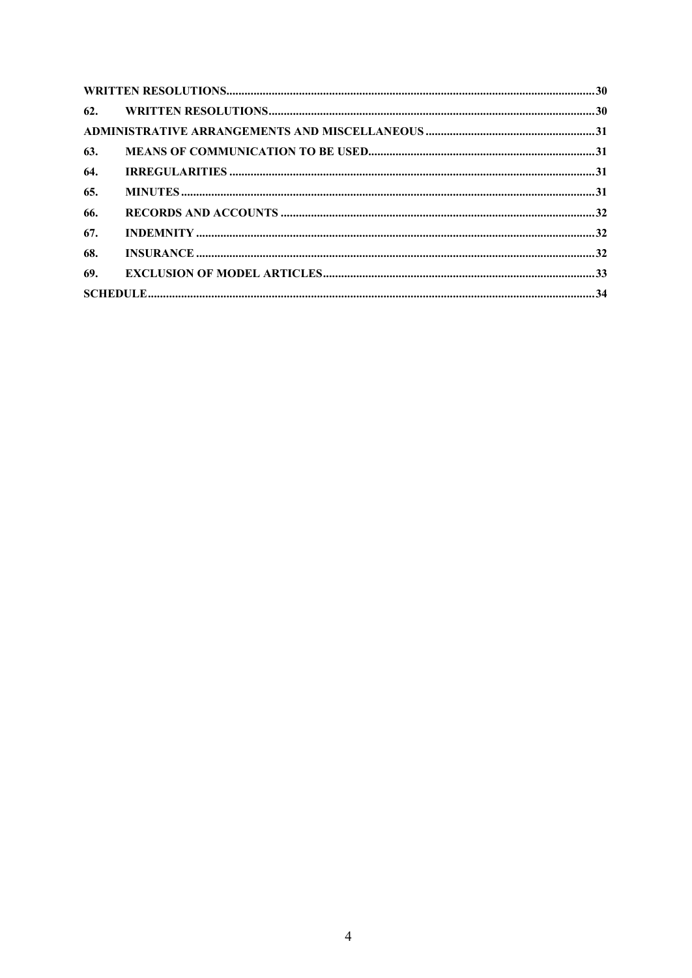| 63. |  |  |
|-----|--|--|
| 64. |  |  |
| 65. |  |  |
| 66. |  |  |
| 67. |  |  |
| 68. |  |  |
|     |  |  |
|     |  |  |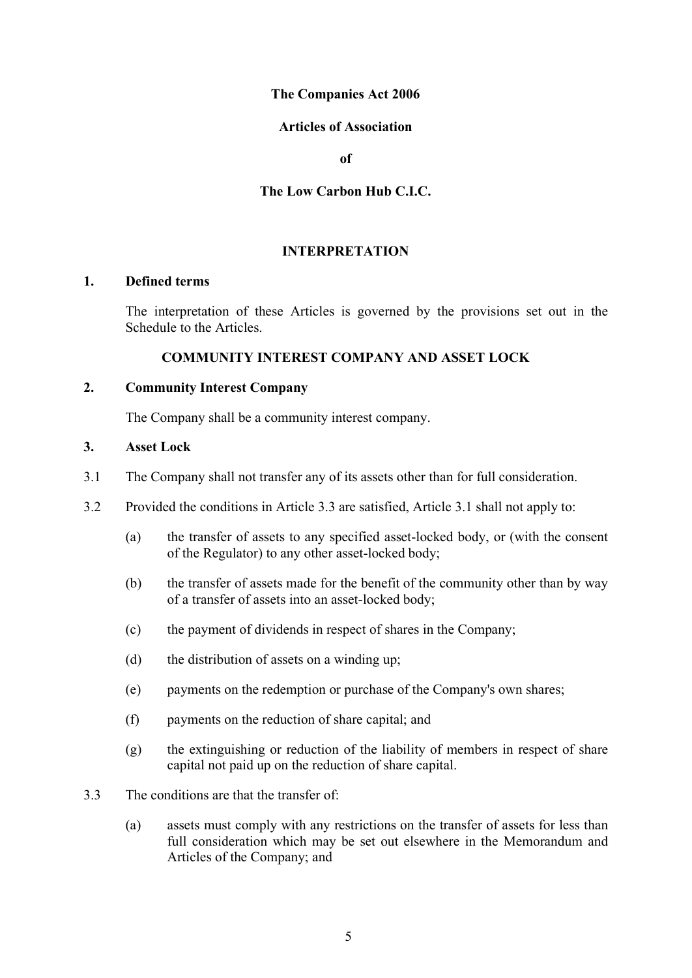# **The Companies Act 2006**

# **Articles of Association**

**of** 

# **The Low Carbon Hub C.I.C.**

# **INTERPRETATION**

#### <span id="page-4-1"></span><span id="page-4-0"></span>**1. Defined terms**

The interpretation of these Articles is governed by the provisions set out in the Schedule to the Articles.

# **COMMUNITY INTEREST COMPANY AND ASSET LOCK**

# <span id="page-4-3"></span><span id="page-4-2"></span>**2. Community Interest Company**

The Company shall be a community interest company.

#### <span id="page-4-4"></span>**3. Asset Lock**

- 3.1 The Company shall not transfer any of its assets other than for full consideration.
- 3.2 Provided the conditions in Article 3.3 are satisfied, Article 3.1 shall not apply to:
	- (a) the transfer of assets to any specified asset-locked body, or (with the consent of the Regulator) to any other asset-locked body;
	- (b) the transfer of assets made for the benefit of the community other than by way of a transfer of assets into an asset-locked body;
	- (c) the payment of dividends in respect of shares in the Company;
	- (d) the distribution of assets on a winding up;
	- (e) payments on the redemption or purchase of the Company's own shares;
	- (f) payments on the reduction of share capital; and
	- (g) the extinguishing or reduction of the liability of members in respect of share capital not paid up on the reduction of share capital.
- 3.3 The conditions are that the transfer of:
	- (a) assets must comply with any restrictions on the transfer of assets for less than full consideration which may be set out elsewhere in the Memorandum and Articles of the Company; and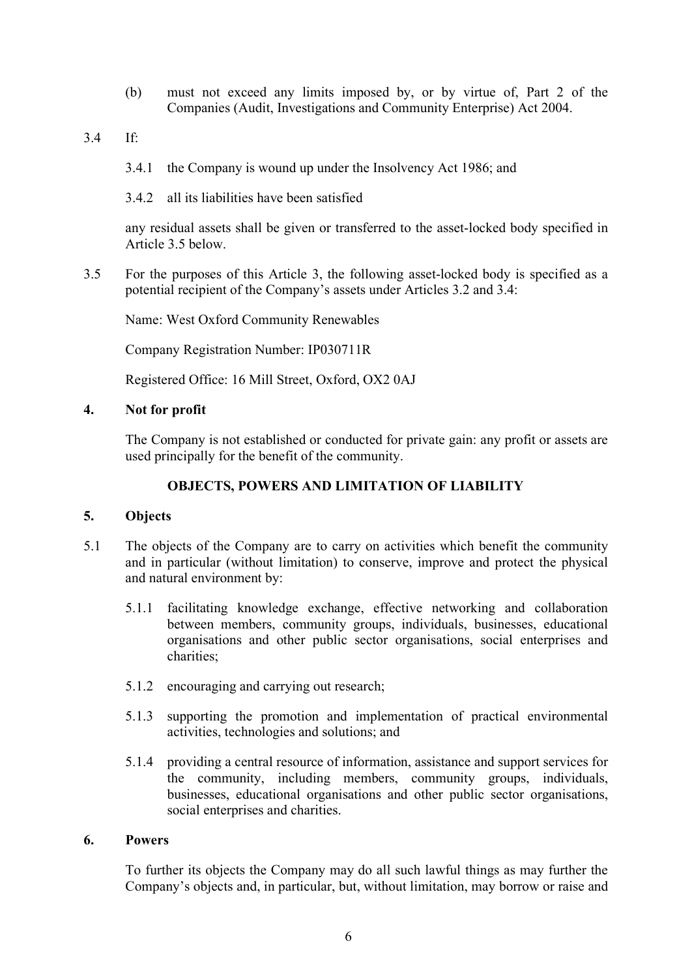- (b) must not exceed any limits imposed by, or by virtue of, Part 2 of the Companies (Audit, Investigations and Community Enterprise) Act 2004.
- 3.4 If:
	- 3.4.1 the Company is wound up under the Insolvency Act 1986; and
	- 3.4.2 all its liabilities have been satisfied

any residual assets shall be given or transferred to the asset-locked body specified in Article 3.5 below.

3.5 For the purposes of this Article 3, the following asset-locked body is specified as a potential recipient of the Company's assets under Articles 3.2 and 3.4:

Name: West Oxford Community Renewables

Company Registration Number: IP030711R

Registered Office: 16 Mill Street, Oxford, OX2 0AJ

# <span id="page-5-0"></span>**4. Not for profit**

The Company is not established or conducted for private gain: any profit or assets are used principally for the benefit of the community.

#### **OBJECTS, POWERS AND LIMITATION OF LIABILITY**

# <span id="page-5-2"></span><span id="page-5-1"></span>**5. Objects**

- 5.1 The objects of the Company are to carry on activities which benefit the community and in particular (without limitation) to conserve, improve and protect the physical and natural environment by:
	- 5.1.1 facilitating knowledge exchange, effective networking and collaboration between members, community groups, individuals, businesses, educational organisations and other public sector organisations, social enterprises and charities;
	- 5.1.2 encouraging and carrying out research;
	- 5.1.3 supporting the promotion and implementation of practical environmental activities, technologies and solutions; and
	- 5.1.4 providing a central resource of information, assistance and support services for the community, including members, community groups, individuals, businesses, educational organisations and other public sector organisations, social enterprises and charities.

#### <span id="page-5-3"></span>**6. Powers**

To further its objects the Company may do all such lawful things as may further the Company's objects and, in particular, but, without limitation, may borrow or raise and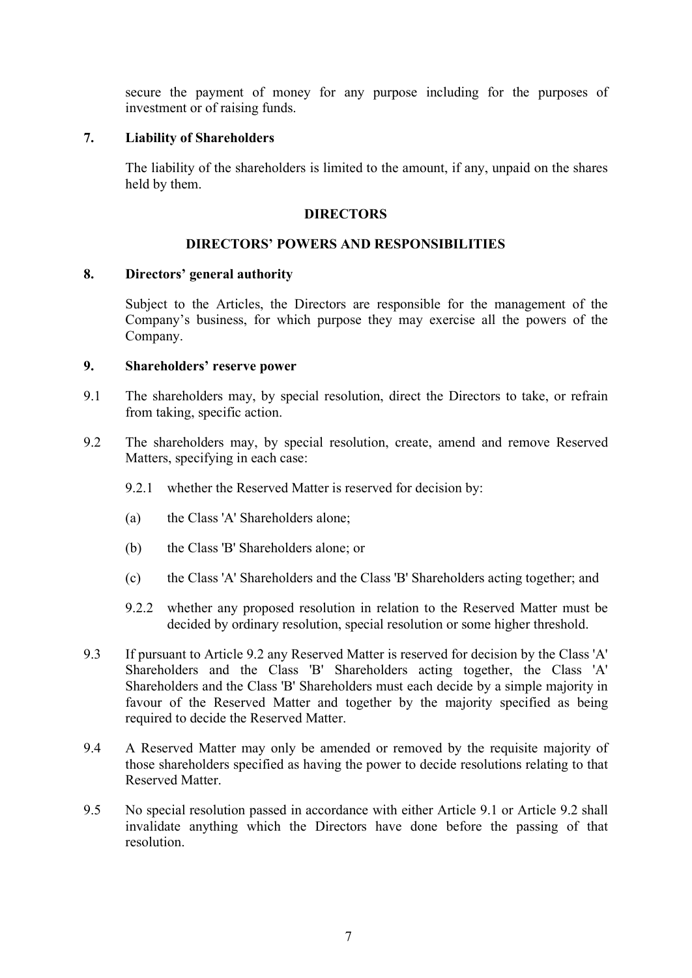secure the payment of money for any purpose including for the purposes of investment or of raising funds.

#### <span id="page-6-0"></span>**7. Liability of Shareholders**

<span id="page-6-1"></span>The liability of the shareholders is limited to the amount, if any, unpaid on the shares held by them.

# **DIRECTORS**

#### **DIRECTORS' POWERS AND RESPONSIBILITIES**

#### <span id="page-6-3"></span><span id="page-6-2"></span>**8. Directors' general authority**

Subject to the Articles, the Directors are responsible for the management of the Company's business, for which purpose they may exercise all the powers of the Company.

#### <span id="page-6-4"></span>**9. Shareholders' reserve power**

- <span id="page-6-6"></span>9.1 The shareholders may, by special resolution, direct the Directors to take, or refrain from taking, specific action.
- <span id="page-6-5"></span>9.2 The shareholders may, by special resolution, create, amend and remove Reserved Matters, specifying in each case:
	- 9.2.1 whether the Reserved Matter is reserved for decision by:
	- (a) the Class 'A' Shareholders alone;
	- (b) the Class 'B' Shareholders alone; or
	- (c) the Class 'A' Shareholders and the Class 'B' Shareholders acting together; and
	- 9.2.2 whether any proposed resolution in relation to the Reserved Matter must be decided by ordinary resolution, special resolution or some higher threshold.
- 9.3 If pursuant to Article [9.2](#page-6-5) any Reserved Matter is reserved for decision by the Class 'A' Shareholders and the Class 'B' Shareholders acting together, the Class 'A' Shareholders and the Class 'B' Shareholders must each decide by a simple majority in favour of the Reserved Matter and together by the majority specified as being required to decide the Reserved Matter.
- 9.4 A Reserved Matter may only be amended or removed by the requisite majority of those shareholders specified as having the power to decide resolutions relating to that Reserved Matter.
- 9.5 No special resolution passed in accordance with either Article [9.1](#page-6-6) or Article [9.2](#page-6-5) shall invalidate anything which the Directors have done before the passing of that resolution.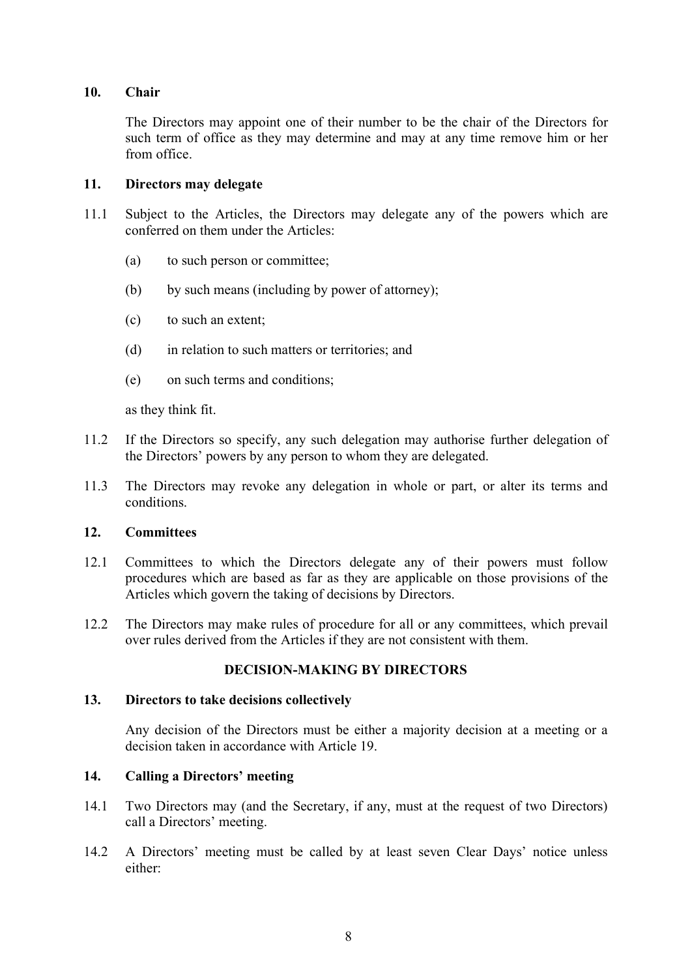# <span id="page-7-0"></span>**10. Chair**

The Directors may appoint one of their number to be the chair of the Directors for such term of office as they may determine and may at any time remove him or her from office.

# <span id="page-7-1"></span>**11. Directors may delegate**

- 11.1 Subject to the Articles, the Directors may delegate any of the powers which are conferred on them under the Articles:
	- (a) to such person or committee;
	- (b) by such means (including by power of attorney);
	- (c) to such an extent;
	- (d) in relation to such matters or territories; and
	- (e) on such terms and conditions;

as they think fit.

- 11.2 If the Directors so specify, any such delegation may authorise further delegation of the Directors' powers by any person to whom they are delegated.
- 11.3 The Directors may revoke any delegation in whole or part, or alter its terms and conditions.

# <span id="page-7-2"></span>**12. Committees**

- 12.1 Committees to which the Directors delegate any of their powers must follow procedures which are based as far as they are applicable on those provisions of the Articles which govern the taking of decisions by Directors.
- 12.2 The Directors may make rules of procedure for all or any committees, which prevail over rules derived from the Articles if they are not consistent with them.

# **DECISION-MAKING BY DIRECTORS**

#### <span id="page-7-4"></span><span id="page-7-3"></span>**13. Directors to take decisions collectively**

Any decision of the Directors must be either a majority decision at a meeting or a decision taken in accordance with Article [19.](#page-9-1)

#### <span id="page-7-5"></span>**14. Calling a Directors' meeting**

- 14.1 Two Directors may (and the Secretary, if any, must at the request of two Directors) call a Directors' meeting.
- 14.2 A Directors' meeting must be called by at least seven Clear Days' notice unless either: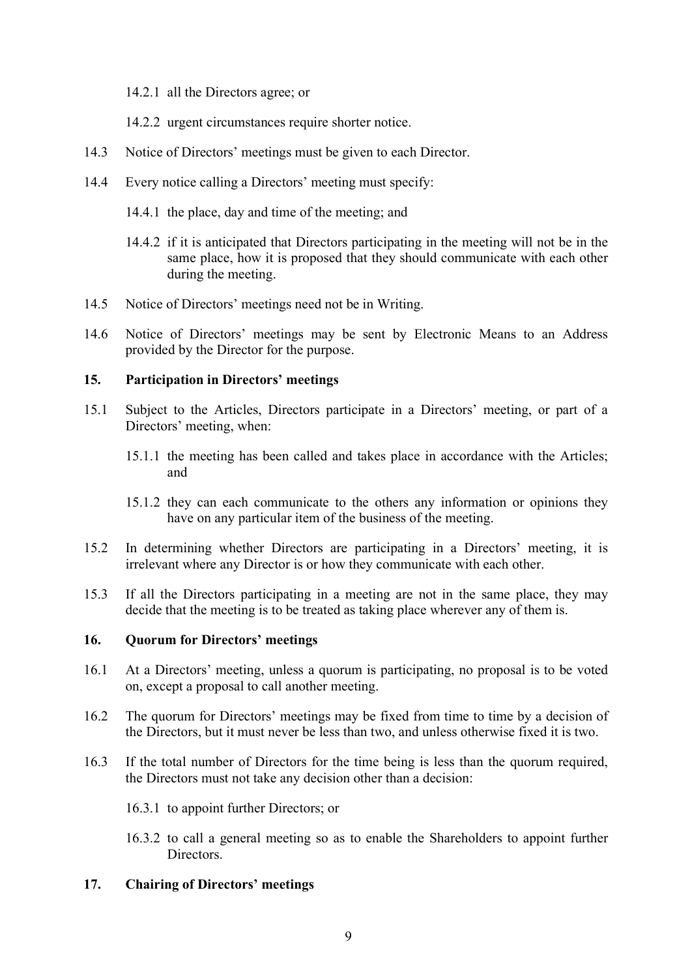14.2.1 all the Directors agree; or

14.2.2 urgent circumstances require shorter notice.

- 14.3 Notice of Directors' meetings must be given to each Director.
- 14.4 Every notice calling a Directors' meeting must specify:
	- 14.4.1 the place, day and time of the meeting; and
	- 14.4.2 if it is anticipated that Directors participating in the meeting will not be in the same place, how it is proposed that they should communicate with each other during the meeting.
- 14.5 Notice of Directors' meetings need not be in Writing.
- 14.6 Notice of Directors' meetings may be sent by Electronic Means to an Address provided by the Director for the purpose.

# <span id="page-8-0"></span>**15. Participation in Directors' meetings**

- 15.1 Subject to the Articles, Directors participate in a Directors' meeting, or part of a Directors' meeting, when:
	- 15.1.1 the meeting has been called and takes place in accordance with the Articles; and
	- 15.1.2 they can each communicate to the others any information or opinions they have on any particular item of the business of the meeting.
- 15.2 In determining whether Directors are participating in a Directors' meeting, it is irrelevant where any Director is or how they communicate with each other.
- 15.3 If all the Directors participating in a meeting are not in the same place, they may decide that the meeting is to be treated as taking place wherever any of them is.

# <span id="page-8-1"></span>**16. Quorum for Directors' meetings**

- 16.1 At a Directors' meeting, unless a quorum is participating, no proposal is to be voted on, except a proposal to call another meeting.
- 16.2 The quorum for Directors' meetings may be fixed from time to time by a decision of the Directors, but it must never be less than two, and unless otherwise fixed it is two.
- 16.3 If the total number of Directors for the time being is less than the quorum required, the Directors must not take any decision other than a decision:

16.3.1 to appoint further Directors; or

16.3.2 to call a general meeting so as to enable the Shareholders to appoint further Directors.

# <span id="page-8-2"></span>**17. Chairing of Directors' meetings**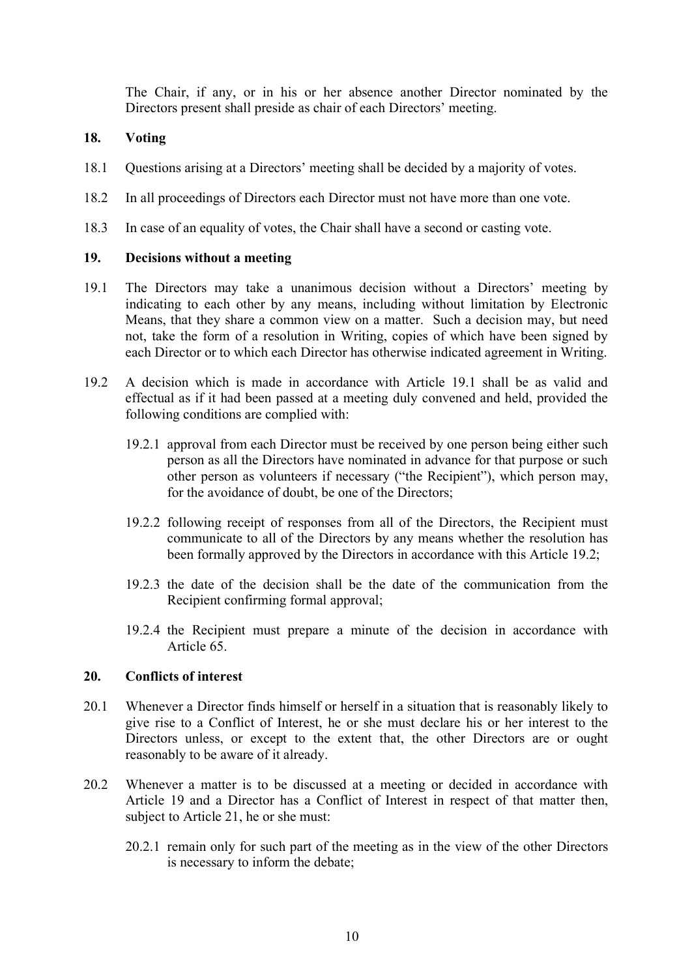The Chair, if any, or in his or her absence another Director nominated by the Directors present shall preside as chair of each Directors' meeting.

# <span id="page-9-0"></span>**18. Voting**

- 18.1 Questions arising at a Directors' meeting shall be decided by a majority of votes.
- 18.2 In all proceedings of Directors each Director must not have more than one vote.
- 18.3 In case of an equality of votes, the Chair shall have a second or casting vote.

# <span id="page-9-1"></span>**19. Decisions without a meeting**

- <span id="page-9-3"></span>19.1 The Directors may take a unanimous decision without a Directors' meeting by indicating to each other by any means, including without limitation by Electronic Means, that they share a common view on a matter. Such a decision may, but need not, take the form of a resolution in Writing, copies of which have been signed by each Director or to which each Director has otherwise indicated agreement in Writing.
- <span id="page-9-4"></span>19.2 A decision which is made in accordance with Article [19.1](#page-9-3) shall be as valid and effectual as if it had been passed at a meeting duly convened and held, provided the following conditions are complied with:
	- 19.2.1 approval from each Director must be received by one person being either such person as all the Directors have nominated in advance for that purpose or such other person as volunteers if necessary ("the Recipient"), which person may, for the avoidance of doubt, be one of the Directors;
	- 19.2.2 following receipt of responses from all of the Directors, the Recipient must communicate to all of the Directors by any means whether the resolution has been formally approved by the Directors in accordance with this Article [19.2;](#page-9-4)
	- 19.2.3 the date of the decision shall be the date of the communication from the Recipient confirming formal approval;
	- 19.2.4 the Recipient must prepare a minute of the decision in accordance with Article [65.](#page-30-3)

# <span id="page-9-2"></span>**20. Conflicts of interest**

- 20.1 Whenever a Director finds himself or herself in a situation that is reasonably likely to give rise to a Conflict of Interest, he or she must declare his or her interest to the Directors unless, or except to the extent that, the other Directors are or ought reasonably to be aware of it already.
- 20.2 Whenever a matter is to be discussed at a meeting or decided in accordance with Article [19](#page-9-1) and a Director has a Conflict of Interest in respect of that matter then, subject to Article [21,](#page-10-0) he or she must:
	- 20.2.1 remain only for such part of the meeting as in the view of the other Directors is necessary to inform the debate;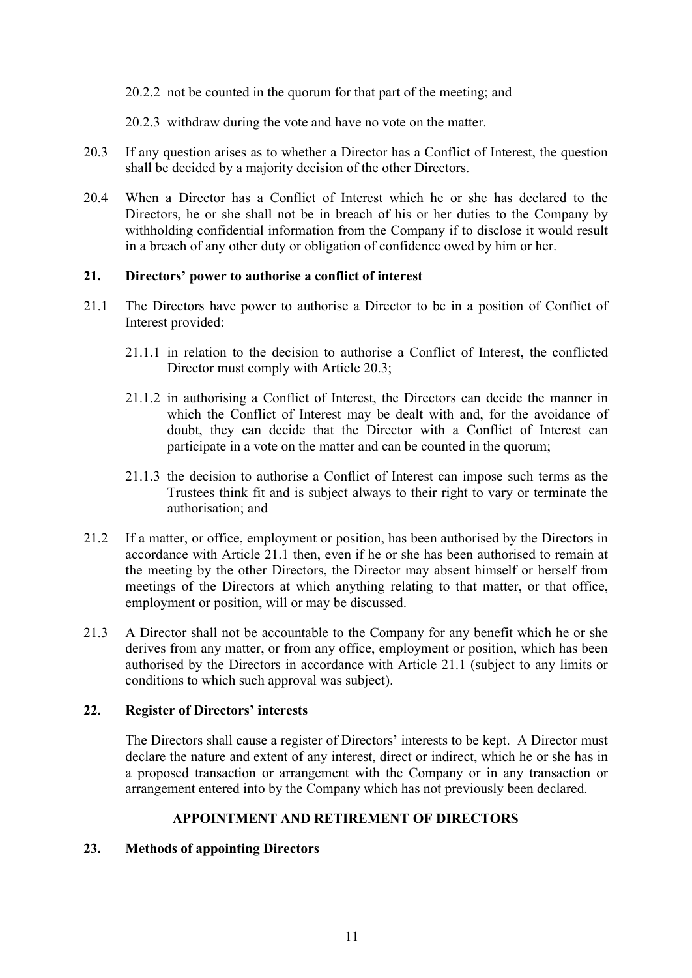20.2.2 not be counted in the quorum for that part of the meeting; and

20.2.3 withdraw during the vote and have no vote on the matter.

- <span id="page-10-4"></span>20.3 If any question arises as to whether a Director has a Conflict of Interest, the question shall be decided by a majority decision of the other Directors.
- 20.4 When a Director has a Conflict of Interest which he or she has declared to the Directors, he or she shall not be in breach of his or her duties to the Company by withholding confidential information from the Company if to disclose it would result in a breach of any other duty or obligation of confidence owed by him or her.

# <span id="page-10-0"></span>**21. Directors' power to authorise a conflict of interest**

- <span id="page-10-5"></span>21.1 The Directors have power to authorise a Director to be in a position of Conflict of Interest provided:
	- 21.1.1 in relation to the decision to authorise a Conflict of Interest, the conflicted Director must comply with Article [20.3;](#page-10-4)
	- 21.1.2 in authorising a Conflict of Interest, the Directors can decide the manner in which the Conflict of Interest may be dealt with and, for the avoidance of doubt, they can decide that the Director with a Conflict of Interest can participate in a vote on the matter and can be counted in the quorum;
	- 21.1.3 the decision to authorise a Conflict of Interest can impose such terms as the Trustees think fit and is subject always to their right to vary or terminate the authorisation; and
- 21.2 If a matter, or office, employment or position, has been authorised by the Directors in accordance with Article [21.1](#page-10-5) then, even if he or she has been authorised to remain at the meeting by the other Directors, the Director may absent himself or herself from meetings of the Directors at which anything relating to that matter, or that office, employment or position, will or may be discussed.
- 21.3 A Director shall not be accountable to the Company for any benefit which he or she derives from any matter, or from any office, employment or position, which has been authorised by the Directors in accordance with Article [21.1](#page-10-5) (subject to any limits or conditions to which such approval was subject).

# <span id="page-10-1"></span>**22. Register of Directors' interests**

The Directors shall cause a register of Directors' interests to be kept. A Director must declare the nature and extent of any interest, direct or indirect, which he or she has in a proposed transaction or arrangement with the Company or in any transaction or arrangement entered into by the Company which has not previously been declared.

# **APPOINTMENT AND RETIREMENT OF DIRECTORS**

# <span id="page-10-3"></span><span id="page-10-2"></span>**23. Methods of appointing Directors**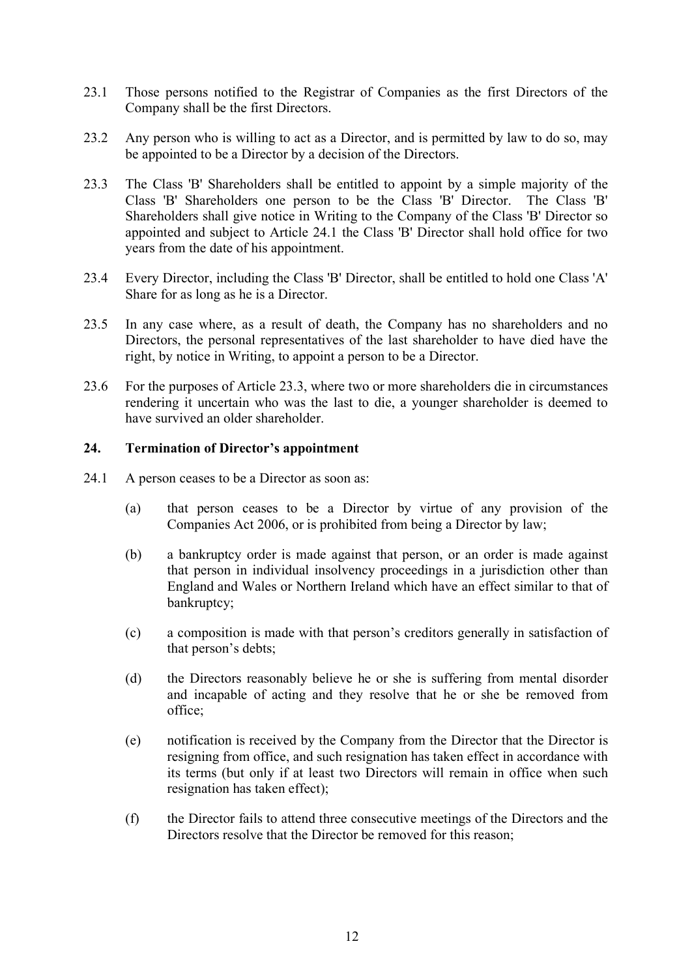- 23.1 Those persons notified to the Registrar of Companies as the first Directors of the Company shall be the first Directors.
- 23.2 Any person who is willing to act as a Director, and is permitted by law to do so, may be appointed to be a Director by a decision of the Directors.
- <span id="page-11-2"></span>23.3 The Class 'B' Shareholders shall be entitled to appoint by a simple majority of the Class 'B' Shareholders one person to be the Class 'B' Director. The Class 'B' Shareholders shall give notice in Writing to the Company of the Class 'B' Director so appointed and subject to Article [24.1](#page-11-1) the Class 'B' Director shall hold office for two years from the date of his appointment.
- 23.4 Every Director, including the Class 'B' Director, shall be entitled to hold one Class 'A' Share for as long as he is a Director.
- 23.5 In any case where, as a result of death, the Company has no shareholders and no Directors, the personal representatives of the last shareholder to have died have the right, by notice in Writing, to appoint a person to be a Director.
- 23.6 For the purposes of Article [23.3,](#page-11-2) where two or more shareholders die in circumstances rendering it uncertain who was the last to die, a younger shareholder is deemed to have survived an older shareholder.

# <span id="page-11-0"></span>**24. Termination of Director's appointment**

- <span id="page-11-1"></span>24.1 A person ceases to be a Director as soon as:
	- (a) that person ceases to be a Director by virtue of any provision of the Companies Act 2006, or is prohibited from being a Director by law;
	- (b) a bankruptcy order is made against that person, or an order is made against that person in individual insolvency proceedings in a jurisdiction other than England and Wales or Northern Ireland which have an effect similar to that of bankruptcy;
	- (c) a composition is made with that person's creditors generally in satisfaction of that person's debts;
	- (d) the Directors reasonably believe he or she is suffering from mental disorder and incapable of acting and they resolve that he or she be removed from office;
	- (e) notification is received by the Company from the Director that the Director is resigning from office, and such resignation has taken effect in accordance with its terms (but only if at least two Directors will remain in office when such resignation has taken effect);
	- (f) the Director fails to attend three consecutive meetings of the Directors and the Directors resolve that the Director be removed for this reason;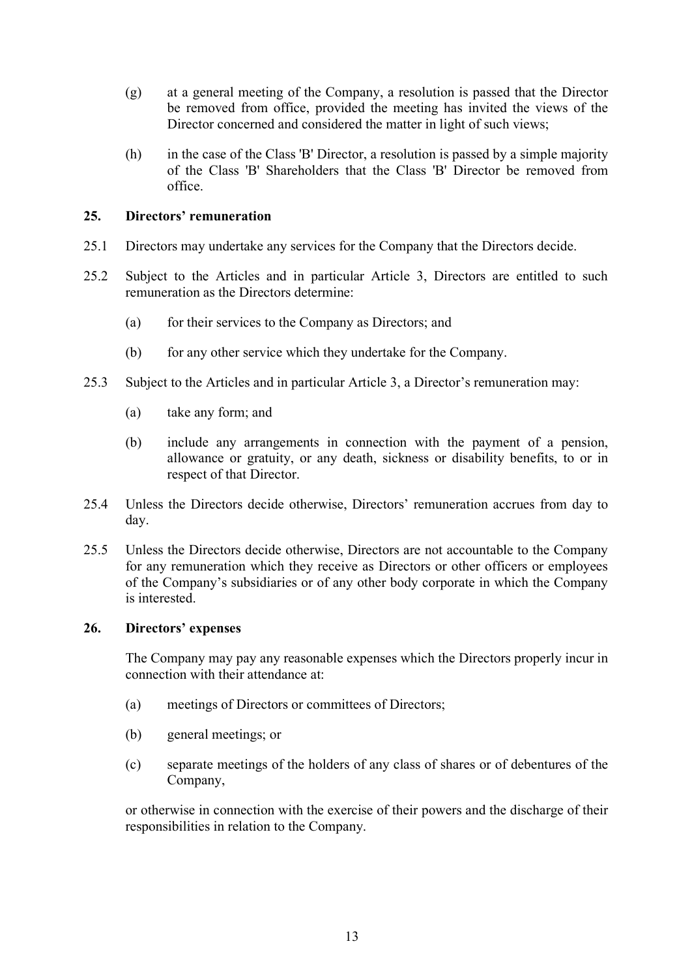- (g) at a general meeting of the Company, a resolution is passed that the Director be removed from office, provided the meeting has invited the views of the Director concerned and considered the matter in light of such views;
- (h) in the case of the Class 'B' Director, a resolution is passed by a simple majority of the Class 'B' Shareholders that the Class 'B' Director be removed from office.

# <span id="page-12-0"></span>**25. Directors' remuneration**

- 25.1 Directors may undertake any services for the Company that the Directors decide.
- 25.2 Subject to the Articles and in particular Article 3, Directors are entitled to such remuneration as the Directors determine:
	- (a) for their services to the Company as Directors; and
	- (b) for any other service which they undertake for the Company.
- 25.3 Subject to the Articles and in particular Article 3, a Director's remuneration may:
	- (a) take any form; and
	- (b) include any arrangements in connection with the payment of a pension, allowance or gratuity, or any death, sickness or disability benefits, to or in respect of that Director.
- 25.4 Unless the Directors decide otherwise, Directors' remuneration accrues from day to day.
- 25.5 Unless the Directors decide otherwise, Directors are not accountable to the Company for any remuneration which they receive as Directors or other officers or employees of the Company's subsidiaries or of any other body corporate in which the Company is interested.

# <span id="page-12-1"></span>**26. Directors' expenses**

The Company may pay any reasonable expenses which the Directors properly incur in connection with their attendance at:

- (a) meetings of Directors or committees of Directors;
- (b) general meetings; or
- (c) separate meetings of the holders of any class of shares or of debentures of the Company,

or otherwise in connection with the exercise of their powers and the discharge of their responsibilities in relation to the Company.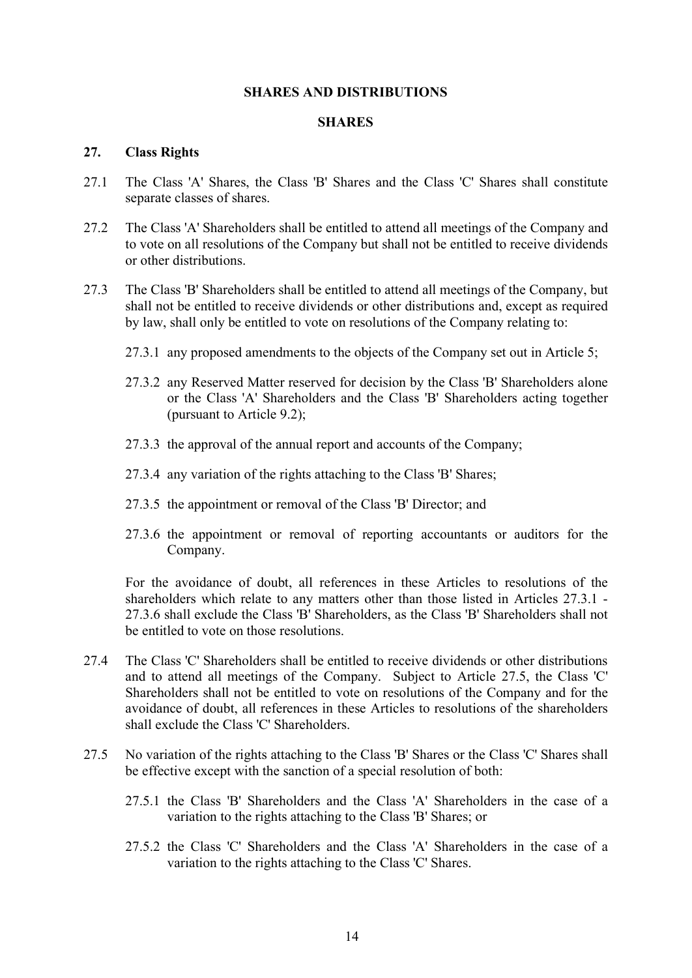#### **SHARES AND DISTRIBUTIONS**

#### **SHARES**

#### <span id="page-13-2"></span><span id="page-13-1"></span><span id="page-13-0"></span>**27. Class Rights**

- 27.1 The Class 'A' Shares, the Class 'B' Shares and the Class 'C' Shares shall constitute separate classes of shares.
- 27.2 The Class 'A' Shareholders shall be entitled to attend all meetings of the Company and to vote on all resolutions of the Company but shall not be entitled to receive dividends or other distributions.
- <span id="page-13-3"></span>27.3 The Class 'B' Shareholders shall be entitled to attend all meetings of the Company, but shall not be entitled to receive dividends or other distributions and, except as required by law, shall only be entitled to vote on resolutions of the Company relating to:
	- 27.3.1 any proposed amendments to the objects of the Company set out in Article [5;](#page-5-2)
	- 27.3.2 any Reserved Matter reserved for decision by the Class 'B' Shareholders alone or the Class 'A' Shareholders and the Class 'B' Shareholders acting together (pursuant to Article [9.2\)](#page-6-5);
	- 27.3.3 the approval of the annual report and accounts of the Company;
	- 27.3.4 any variation of the rights attaching to the Class 'B' Shares;
	- 27.3.5 the appointment or removal of the Class 'B' Director; and
	- 27.3.6 the appointment or removal of reporting accountants or auditors for the Company.

<span id="page-13-4"></span>For the avoidance of doubt, all references in these Articles to resolutions of the shareholders which relate to any matters other than those listed in Articles [27.3.1](#page-13-3) - [27.3.6](#page-13-4) shall exclude the Class 'B' Shareholders, as the Class 'B' Shareholders shall not be entitled to vote on those resolutions.

- 27.4 The Class 'C' Shareholders shall be entitled to receive dividends or other distributions and to attend all meetings of the Company. Subject to Article [27.5,](#page-13-5) the Class 'C' Shareholders shall not be entitled to vote on resolutions of the Company and for the avoidance of doubt, all references in these Articles to resolutions of the shareholders shall exclude the Class 'C' Shareholders.
- <span id="page-13-5"></span>27.5 No variation of the rights attaching to the Class 'B' Shares or the Class 'C' Shares shall be effective except with the sanction of a special resolution of both:
	- 27.5.1 the Class 'B' Shareholders and the Class 'A' Shareholders in the case of a variation to the rights attaching to the Class 'B' Shares; or
	- 27.5.2 the Class 'C' Shareholders and the Class 'A' Shareholders in the case of a variation to the rights attaching to the Class 'C' Shares.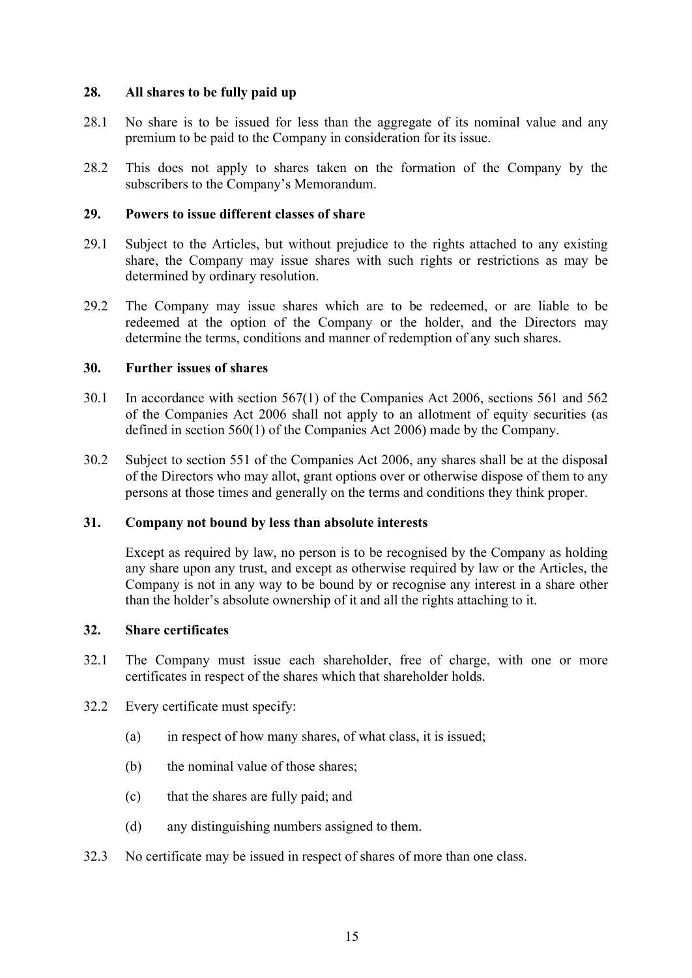# <span id="page-14-0"></span>**28. All shares to be fully paid up**

- 28.1 No share is to be issued for less than the aggregate of its nominal value and any premium to be paid to the Company in consideration for its issue.
- 28.2 This does not apply to shares taken on the formation of the Company by the subscribers to the Company's Memorandum.

# <span id="page-14-1"></span>**29. Powers to issue different classes of share**

- 29.1 Subject to the Articles, but without prejudice to the rights attached to any existing share, the Company may issue shares with such rights or restrictions as may be determined by ordinary resolution.
- 29.2 The Company may issue shares which are to be redeemed, or are liable to be redeemed at the option of the Company or the holder, and the Directors may determine the terms, conditions and manner of redemption of any such shares.

# <span id="page-14-2"></span>**30. Further issues of shares**

- 30.1 In accordance with section 567(1) of the Companies Act 2006, sections 561 and 562 of the Companies Act 2006 shall not apply to an allotment of equity securities (as defined in section 560(1) of the Companies Act 2006) made by the Company.
- 30.2 Subject to section 551 of the Companies Act 2006, any shares shall be at the disposal of the Directors who may allot, grant options over or otherwise dispose of them to any persons at those times and generally on the terms and conditions they think proper.

# <span id="page-14-3"></span>**31. Company not bound by less than absolute interests**

Except as required by law, no person is to be recognised by the Company as holding any share upon any trust, and except as otherwise required by law or the Articles, the Company is not in any way to be bound by or recognise any interest in a share other than the holder's absolute ownership of it and all the rights attaching to it.

# <span id="page-14-4"></span>**32. Share certificates**

- 32.1 The Company must issue each shareholder, free of charge, with one or more certificates in respect of the shares which that shareholder holds.
- 32.2 Every certificate must specify:
	- (a) in respect of how many shares, of what class, it is issued;
	- (b) the nominal value of those shares;
	- (c) that the shares are fully paid; and
	- (d) any distinguishing numbers assigned to them.
- 32.3 No certificate may be issued in respect of shares of more than one class.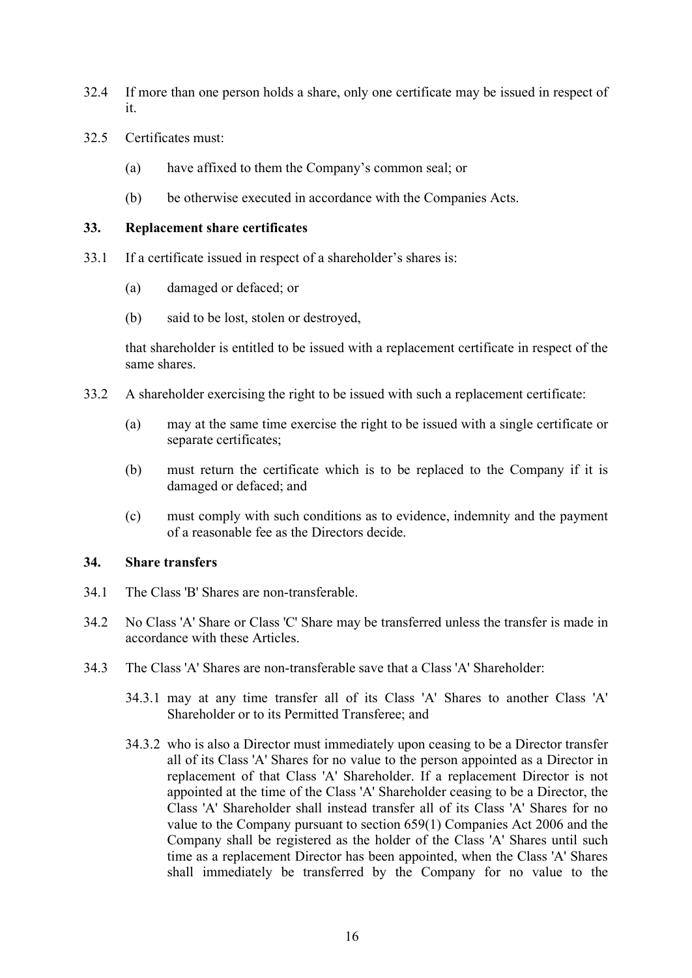- 32.4 If more than one person holds a share, only one certificate may be issued in respect of it.
- 32.5 Certificates must:
	- (a) have affixed to them the Company's common seal; or
	- (b) be otherwise executed in accordance with the Companies Acts.

# <span id="page-15-0"></span>**33. Replacement share certificates**

- 33.1 If a certificate issued in respect of a shareholder's shares is:
	- (a) damaged or defaced; or
	- (b) said to be lost, stolen or destroyed,

that shareholder is entitled to be issued with a replacement certificate in respect of the same shares.

- 33.2 A shareholder exercising the right to be issued with such a replacement certificate:
	- (a) may at the same time exercise the right to be issued with a single certificate or separate certificates;
	- (b) must return the certificate which is to be replaced to the Company if it is damaged or defaced; and
	- (c) must comply with such conditions as to evidence, indemnity and the payment of a reasonable fee as the Directors decide.

# <span id="page-15-1"></span>**34. Share transfers**

- 34.1 The Class 'B' Shares are non-transferable.
- 34.2 No Class 'A' Share or Class 'C' Share may be transferred unless the transfer is made in accordance with these Articles.
- 34.3 The Class 'A' Shares are non-transferable save that a Class 'A' Shareholder:
	- 34.3.1 may at any time transfer all of its Class 'A' Shares to another Class 'A' Shareholder or to its Permitted Transferee; and
	- 34.3.2 who is also a Director must immediately upon ceasing to be a Director transfer all of its Class 'A' Shares for no value to the person appointed as a Director in replacement of that Class 'A' Shareholder. If a replacement Director is not appointed at the time of the Class 'A' Shareholder ceasing to be a Director, the Class 'A' Shareholder shall instead transfer all of its Class 'A' Shares for no value to the Company pursuant to section 659(1) Companies Act 2006 and the Company shall be registered as the holder of the Class 'A' Shares until such time as a replacement Director has been appointed, when the Class 'A' Shares shall immediately be transferred by the Company for no value to the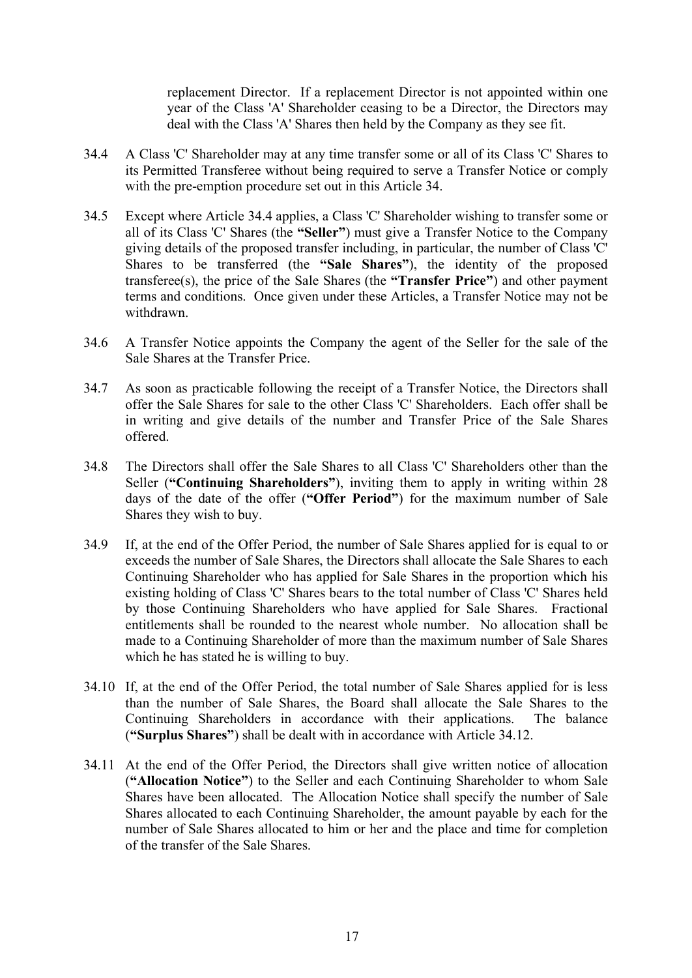replacement Director. If a replacement Director is not appointed within one year of the Class 'A' Shareholder ceasing to be a Director, the Directors may deal with the Class 'A' Shares then held by the Company as they see fit.

- <span id="page-16-0"></span>34.4 A Class 'C' Shareholder may at any time transfer some or all of its Class 'C' Shares to its Permitted Transferee without being required to serve a Transfer Notice or comply with the pre-emption procedure set out in this Article [34.](#page-15-1)
- 34.5 Except where Article [34.4](#page-16-0) applies, a Class 'C' Shareholder wishing to transfer some or all of its Class 'C' Shares (the **"Seller"**) must give a Transfer Notice to the Company giving details of the proposed transfer including, in particular, the number of Class 'C' Shares to be transferred (the **"Sale Shares"**), the identity of the proposed transferee(s), the price of the Sale Shares (the **"Transfer Price"**) and other payment terms and conditions. Once given under these Articles, a Transfer Notice may not be withdrawn.
- 34.6 A Transfer Notice appoints the Company the agent of the Seller for the sale of the Sale Shares at the Transfer Price.
- 34.7 As soon as practicable following the receipt of a Transfer Notice, the Directors shall offer the Sale Shares for sale to the other Class 'C' Shareholders. Each offer shall be in writing and give details of the number and Transfer Price of the Sale Shares offered.
- 34.8 The Directors shall offer the Sale Shares to all Class 'C' Shareholders other than the Seller (**"Continuing Shareholders"**), inviting them to apply in writing within 28 days of the date of the offer (**"Offer Period"**) for the maximum number of Sale Shares they wish to buy.
- 34.9 If, at the end of the Offer Period, the number of Sale Shares applied for is equal to or exceeds the number of Sale Shares, the Directors shall allocate the Sale Shares to each Continuing Shareholder who has applied for Sale Shares in the proportion which his existing holding of Class 'C' Shares bears to the total number of Class 'C' Shares held by those Continuing Shareholders who have applied for Sale Shares. Fractional entitlements shall be rounded to the nearest whole number. No allocation shall be made to a Continuing Shareholder of more than the maximum number of Sale Shares which he has stated he is willing to buy.
- 34.10 If, at the end of the Offer Period, the total number of Sale Shares applied for is less than the number of Sale Shares, the Board shall allocate the Sale Shares to the Continuing Shareholders in accordance with their applications. The balance (**"Surplus Shares"**) shall be dealt with in accordance with Article [34.12.](#page-17-0)
- 34.11 At the end of the Offer Period, the Directors shall give written notice of allocation (**"Allocation Notice"**) to the Seller and each Continuing Shareholder to whom Sale Shares have been allocated. The Allocation Notice shall specify the number of Sale Shares allocated to each Continuing Shareholder, the amount payable by each for the number of Sale Shares allocated to him or her and the place and time for completion of the transfer of the Sale Shares.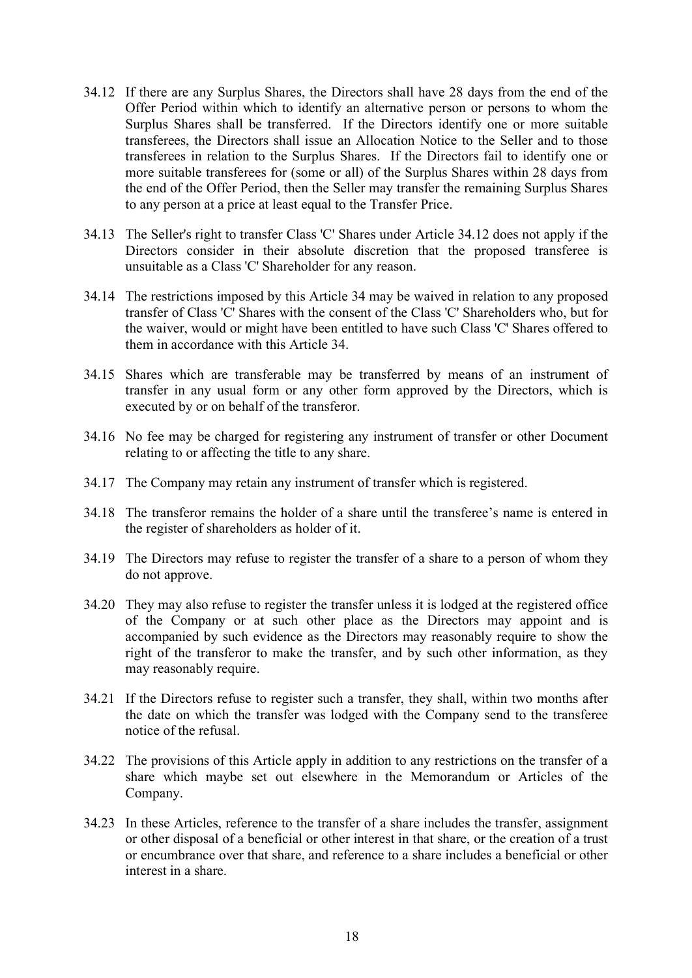- <span id="page-17-0"></span>34.12 If there are any Surplus Shares, the Directors shall have 28 days from the end of the Offer Period within which to identify an alternative person or persons to whom the Surplus Shares shall be transferred. If the Directors identify one or more suitable transferees, the Directors shall issue an Allocation Notice to the Seller and to those transferees in relation to the Surplus Shares. If the Directors fail to identify one or more suitable transferees for (some or all) of the Surplus Shares within 28 days from the end of the Offer Period, then the Seller may transfer the remaining Surplus Shares to any person at a price at least equal to the Transfer Price.
- 34.13 The Seller's right to transfer Class 'C' Shares under Article [34.12](#page-17-0) does not apply if the Directors consider in their absolute discretion that the proposed transferee is unsuitable as a Class 'C' Shareholder for any reason.
- 34.14 The restrictions imposed by this Article [34](#page-15-1) may be waived in relation to any proposed transfer of Class 'C' Shares with the consent of the Class 'C' Shareholders who, but for the waiver, would or might have been entitled to have such Class 'C' Shares offered to them in accordance with this Article [34.](#page-15-1)
- 34.15 Shares which are transferable may be transferred by means of an instrument of transfer in any usual form or any other form approved by the Directors, which is executed by or on behalf of the transferor.
- 34.16 No fee may be charged for registering any instrument of transfer or other Document relating to or affecting the title to any share.
- 34.17 The Company may retain any instrument of transfer which is registered.
- 34.18 The transferor remains the holder of a share until the transferee's name is entered in the register of shareholders as holder of it.
- 34.19 The Directors may refuse to register the transfer of a share to a person of whom they do not approve.
- 34.20 They may also refuse to register the transfer unless it is lodged at the registered office of the Company or at such other place as the Directors may appoint and is accompanied by such evidence as the Directors may reasonably require to show the right of the transferor to make the transfer, and by such other information, as they may reasonably require.
- 34.21 If the Directors refuse to register such a transfer, they shall, within two months after the date on which the transfer was lodged with the Company send to the transferee notice of the refusal.
- 34.22 The provisions of this Article apply in addition to any restrictions on the transfer of a share which maybe set out elsewhere in the Memorandum or Articles of the Company.
- 34.23 In these Articles, reference to the transfer of a share includes the transfer, assignment or other disposal of a beneficial or other interest in that share, or the creation of a trust or encumbrance over that share, and reference to a share includes a beneficial or other interest in a share.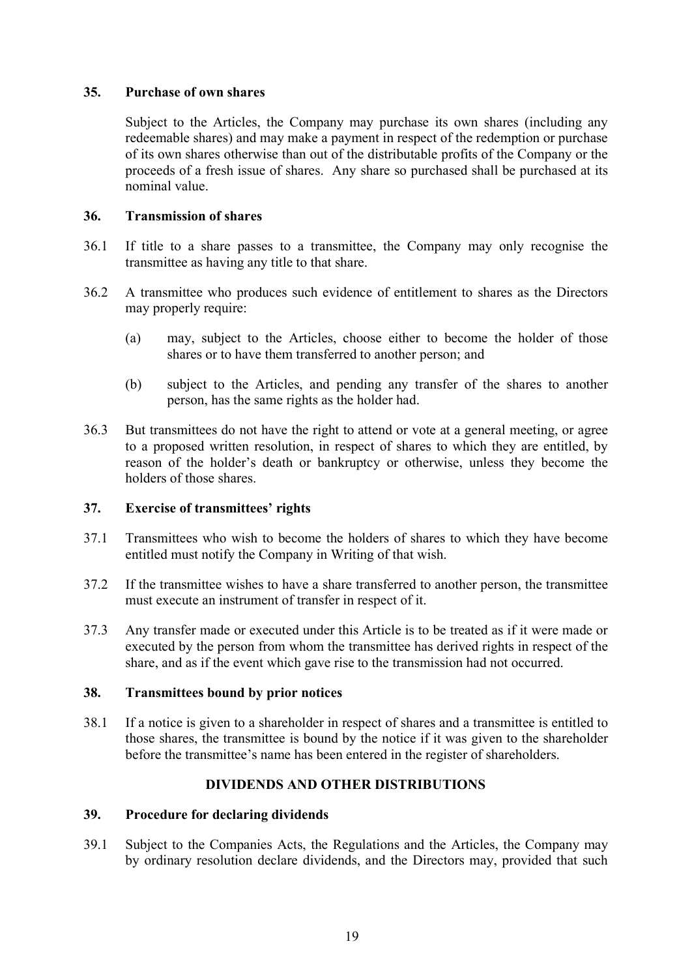# <span id="page-18-0"></span>**35. Purchase of own shares**

Subject to the Articles, the Company may purchase its own shares (including any redeemable shares) and may make a payment in respect of the redemption or purchase of its own shares otherwise than out of the distributable profits of the Company or the proceeds of a fresh issue of shares. Any share so purchased shall be purchased at its nominal value.

# <span id="page-18-1"></span>**36. Transmission of shares**

- 36.1 If title to a share passes to a transmittee, the Company may only recognise the transmittee as having any title to that share.
- 36.2 A transmittee who produces such evidence of entitlement to shares as the Directors may properly require:
	- (a) may, subject to the Articles, choose either to become the holder of those shares or to have them transferred to another person; and
	- (b) subject to the Articles, and pending any transfer of the shares to another person, has the same rights as the holder had.
- 36.3 But transmittees do not have the right to attend or vote at a general meeting, or agree to a proposed written resolution, in respect of shares to which they are entitled, by reason of the holder's death or bankruptcy or otherwise, unless they become the holders of those shares.

# <span id="page-18-2"></span>**37. Exercise of transmittees' rights**

- 37.1 Transmittees who wish to become the holders of shares to which they have become entitled must notify the Company in Writing of that wish.
- 37.2 If the transmittee wishes to have a share transferred to another person, the transmittee must execute an instrument of transfer in respect of it.
- 37.3 Any transfer made or executed under this Article is to be treated as if it were made or executed by the person from whom the transmittee has derived rights in respect of the share, and as if the event which gave rise to the transmission had not occurred.

# <span id="page-18-3"></span>**38. Transmittees bound by prior notices**

38.1 If a notice is given to a shareholder in respect of shares and a transmittee is entitled to those shares, the transmittee is bound by the notice if it was given to the shareholder before the transmittee's name has been entered in the register of shareholders.

# **DIVIDENDS AND OTHER DISTRIBUTIONS**

# <span id="page-18-5"></span><span id="page-18-4"></span>**39. Procedure for declaring dividends**

39.1 Subject to the Companies Acts, the Regulations and the Articles, the Company may by ordinary resolution declare dividends, and the Directors may, provided that such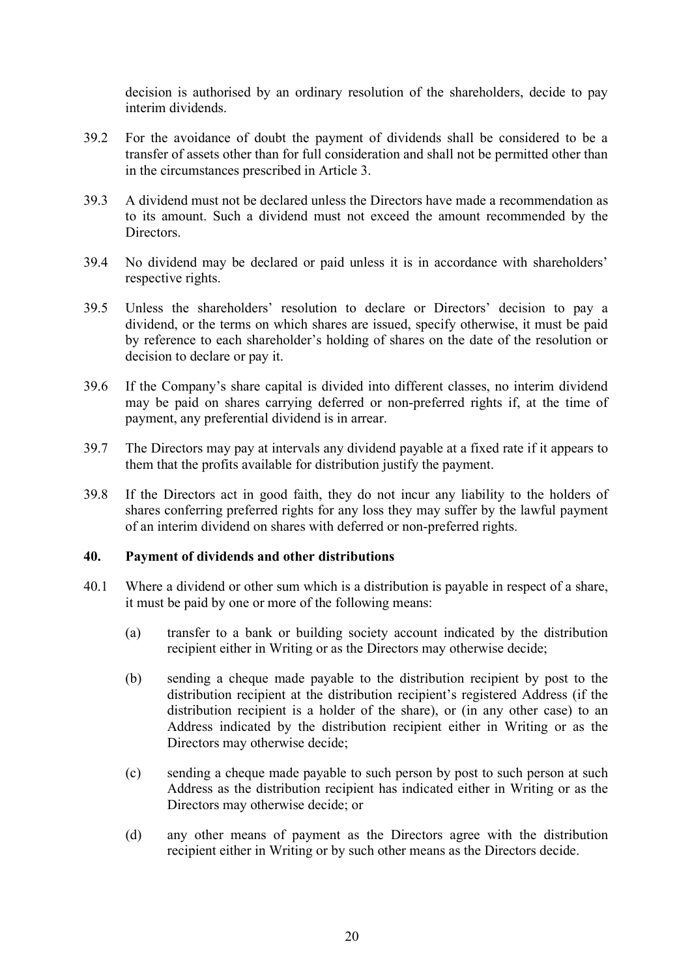decision is authorised by an ordinary resolution of the shareholders, decide to pay interim dividends.

- 39.2 For the avoidance of doubt the payment of dividends shall be considered to be a transfer of assets other than for full consideration and shall not be permitted other than in the circumstances prescribed in Article 3.
- 39.3 A dividend must not be declared unless the Directors have made a recommendation as to its amount. Such a dividend must not exceed the amount recommended by the Directors.
- 39.4 No dividend may be declared or paid unless it is in accordance with shareholders' respective rights.
- 39.5 Unless the shareholders' resolution to declare or Directors' decision to pay a dividend, or the terms on which shares are issued, specify otherwise, it must be paid by reference to each shareholder's holding of shares on the date of the resolution or decision to declare or pay it.
- 39.6 If the Company's share capital is divided into different classes, no interim dividend may be paid on shares carrying deferred or non-preferred rights if, at the time of payment, any preferential dividend is in arrear.
- 39.7 The Directors may pay at intervals any dividend payable at a fixed rate if it appears to them that the profits available for distribution justify the payment.
- 39.8 If the Directors act in good faith, they do not incur any liability to the holders of shares conferring preferred rights for any loss they may suffer by the lawful payment of an interim dividend on shares with deferred or non-preferred rights.

# <span id="page-19-0"></span>**40. Payment of dividends and other distributions**

- 40.1 Where a dividend or other sum which is a distribution is payable in respect of a share, it must be paid by one or more of the following means:
	- (a) transfer to a bank or building society account indicated by the distribution recipient either in Writing or as the Directors may otherwise decide;
	- (b) sending a cheque made payable to the distribution recipient by post to the distribution recipient at the distribution recipient's registered Address (if the distribution recipient is a holder of the share), or (in any other case) to an Address indicated by the distribution recipient either in Writing or as the Directors may otherwise decide;
	- (c) sending a cheque made payable to such person by post to such person at such Address as the distribution recipient has indicated either in Writing or as the Directors may otherwise decide; or
	- (d) any other means of payment as the Directors agree with the distribution recipient either in Writing or by such other means as the Directors decide.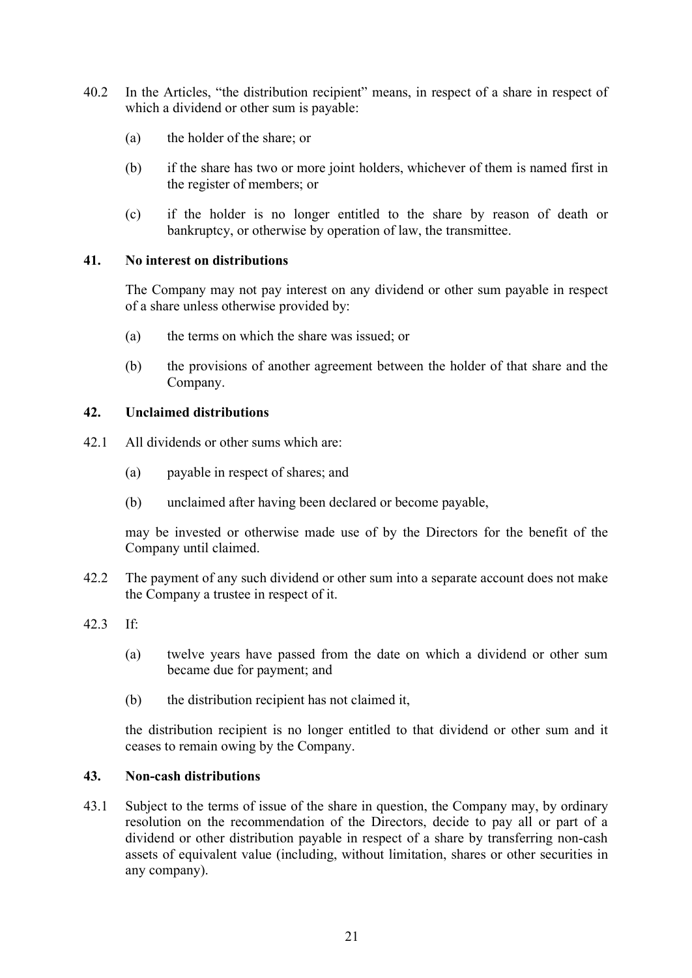- 40.2 In the Articles, "the distribution recipient" means, in respect of a share in respect of which a dividend or other sum is payable:
	- (a) the holder of the share; or
	- (b) if the share has two or more joint holders, whichever of them is named first in the register of members; or
	- (c) if the holder is no longer entitled to the share by reason of death or bankruptcy, or otherwise by operation of law, the transmittee.

# <span id="page-20-0"></span>**41. No interest on distributions**

The Company may not pay interest on any dividend or other sum payable in respect of a share unless otherwise provided by:

- (a) the terms on which the share was issued; or
- (b) the provisions of another agreement between the holder of that share and the Company.

# <span id="page-20-1"></span>**42. Unclaimed distributions**

- 42.1 All dividends or other sums which are:
	- (a) payable in respect of shares; and
	- (b) unclaimed after having been declared or become payable,

may be invested or otherwise made use of by the Directors for the benefit of the Company until claimed.

- 42.2 The payment of any such dividend or other sum into a separate account does not make the Company a trustee in respect of it.
- 42.3 If:
	- (a) twelve years have passed from the date on which a dividend or other sum became due for payment; and
	- (b) the distribution recipient has not claimed it,

the distribution recipient is no longer entitled to that dividend or other sum and it ceases to remain owing by the Company.

# <span id="page-20-2"></span>**43. Non-cash distributions**

43.1 Subject to the terms of issue of the share in question, the Company may, by ordinary resolution on the recommendation of the Directors, decide to pay all or part of a dividend or other distribution payable in respect of a share by transferring non-cash assets of equivalent value (including, without limitation, shares or other securities in any company).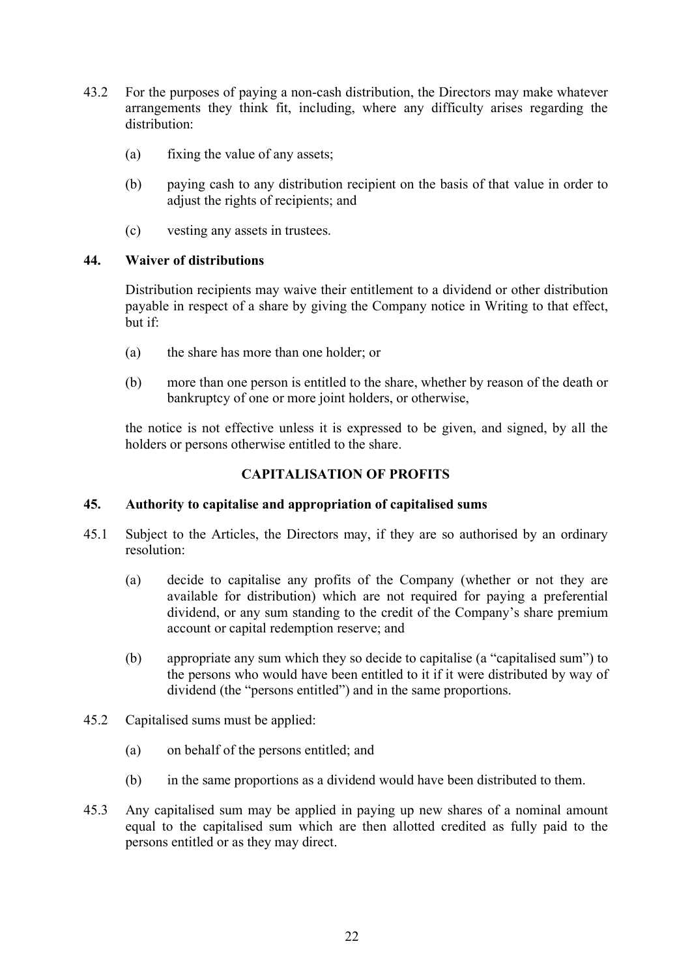- 43.2 For the purposes of paying a non-cash distribution, the Directors may make whatever arrangements they think fit, including, where any difficulty arises regarding the distribution:
	- (a) fixing the value of any assets;
	- (b) paying cash to any distribution recipient on the basis of that value in order to adjust the rights of recipients; and
	- (c) vesting any assets in trustees.

# <span id="page-21-0"></span>**44. Waiver of distributions**

Distribution recipients may waive their entitlement to a dividend or other distribution payable in respect of a share by giving the Company notice in Writing to that effect, but if:

- (a) the share has more than one holder; or
- (b) more than one person is entitled to the share, whether by reason of the death or bankruptcy of one or more joint holders, or otherwise,

the notice is not effective unless it is expressed to be given, and signed, by all the holders or persons otherwise entitled to the share.

# **CAPITALISATION OF PROFITS**

# <span id="page-21-2"></span><span id="page-21-1"></span>**45. Authority to capitalise and appropriation of capitalised sums**

- 45.1 Subject to the Articles, the Directors may, if they are so authorised by an ordinary resolution:
	- (a) decide to capitalise any profits of the Company (whether or not they are available for distribution) which are not required for paying a preferential dividend, or any sum standing to the credit of the Company's share premium account or capital redemption reserve; and
	- (b) appropriate any sum which they so decide to capitalise (a "capitalised sum") to the persons who would have been entitled to it if it were distributed by way of dividend (the "persons entitled") and in the same proportions.
- 45.2 Capitalised sums must be applied:
	- (a) on behalf of the persons entitled; and
	- (b) in the same proportions as a dividend would have been distributed to them.
- <span id="page-21-3"></span>45.3 Any capitalised sum may be applied in paying up new shares of a nominal amount equal to the capitalised sum which are then allotted credited as fully paid to the persons entitled or as they may direct.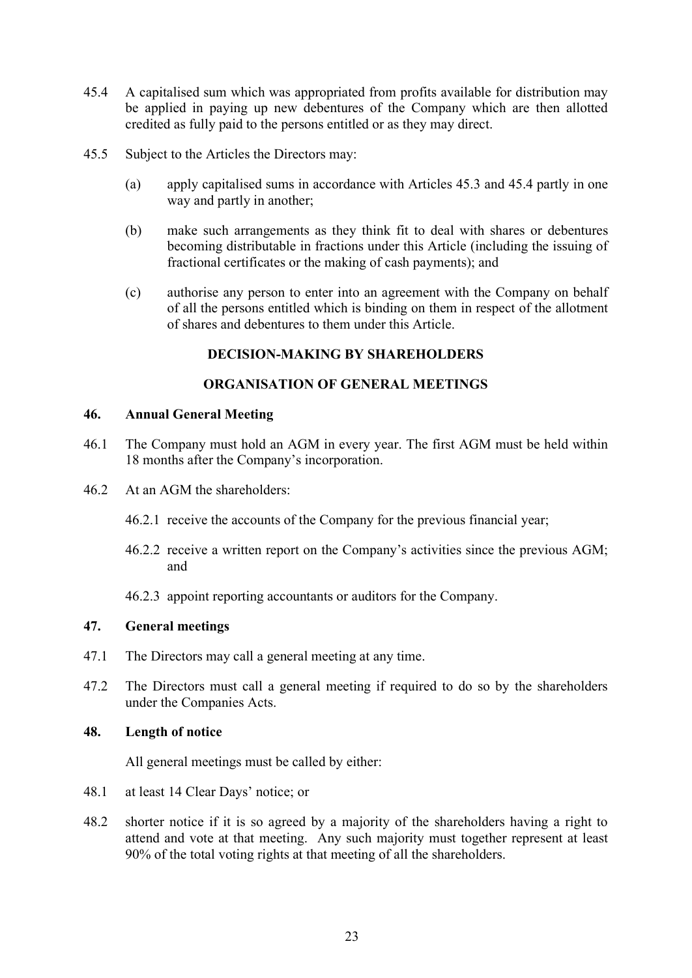- <span id="page-22-5"></span>45.4 A capitalised sum which was appropriated from profits available for distribution may be applied in paying up new debentures of the Company which are then allotted credited as fully paid to the persons entitled or as they may direct.
- 45.5 Subject to the Articles the Directors may:
	- (a) apply capitalised sums in accordance with Articles [45.3](#page-21-3) and [45.4](#page-22-5) partly in one way and partly in another;
	- (b) make such arrangements as they think fit to deal with shares or debentures becoming distributable in fractions under this Article (including the issuing of fractional certificates or the making of cash payments); and
	- (c) authorise any person to enter into an agreement with the Company on behalf of all the persons entitled which is binding on them in respect of the allotment of shares and debentures to them under this Article.

# **DECISION-MAKING BY SHAREHOLDERS**

# **ORGANISATION OF GENERAL MEETINGS**

# <span id="page-22-2"></span><span id="page-22-1"></span><span id="page-22-0"></span>**46. Annual General Meeting**

- 46.1 The Company must hold an AGM in every year. The first AGM must be held within 18 months after the Company's incorporation.
- 46.2 At an AGM the shareholders:
	- 46.2.1 receive the accounts of the Company for the previous financial year;
	- 46.2.2 receive a written report on the Company's activities since the previous AGM; and

46.2.3 appoint reporting accountants or auditors for the Company.

# <span id="page-22-3"></span>**47. General meetings**

- 47.1 The Directors may call a general meeting at any time.
- 47.2 The Directors must call a general meeting if required to do so by the shareholders under the Companies Acts.

# <span id="page-22-4"></span>**48. Length of notice**

All general meetings must be called by either:

- 48.1 at least 14 Clear Days' notice; or
- 48.2 shorter notice if it is so agreed by a majority of the shareholders having a right to attend and vote at that meeting. Any such majority must together represent at least 90% of the total voting rights at that meeting of all the shareholders.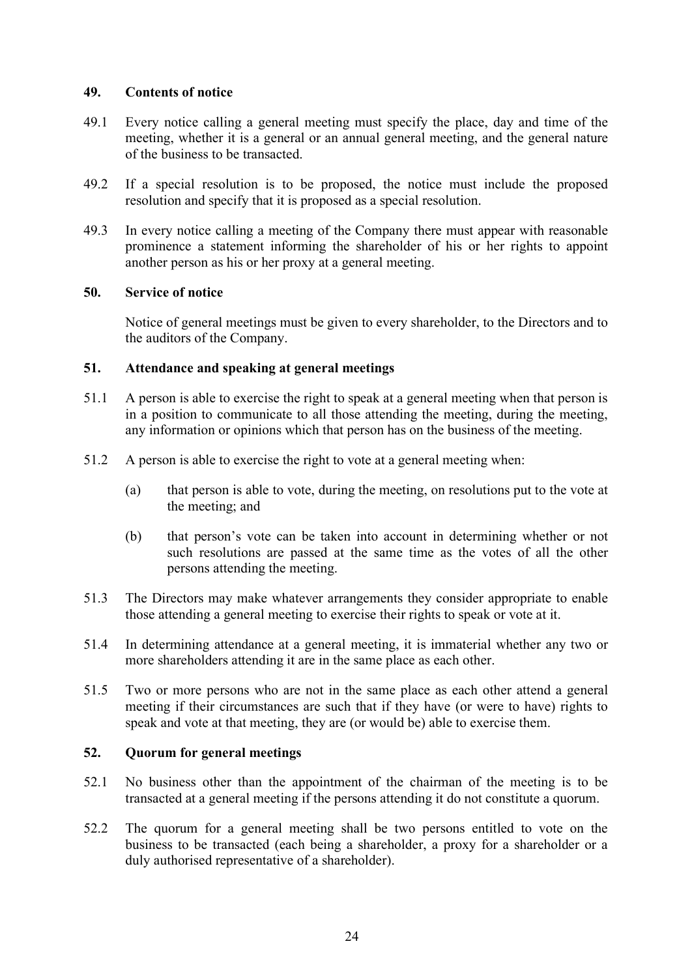# <span id="page-23-0"></span>**49. Contents of notice**

- 49.1 Every notice calling a general meeting must specify the place, day and time of the meeting, whether it is a general or an annual general meeting, and the general nature of the business to be transacted.
- 49.2 If a special resolution is to be proposed, the notice must include the proposed resolution and specify that it is proposed as a special resolution.
- 49.3 In every notice calling a meeting of the Company there must appear with reasonable prominence a statement informing the shareholder of his or her rights to appoint another person as his or her proxy at a general meeting.

# <span id="page-23-1"></span>**50. Service of notice**

Notice of general meetings must be given to every shareholder, to the Directors and to the auditors of the Company.

# <span id="page-23-2"></span>**51. Attendance and speaking at general meetings**

- 51.1 A person is able to exercise the right to speak at a general meeting when that person is in a position to communicate to all those attending the meeting, during the meeting, any information or opinions which that person has on the business of the meeting.
- 51.2 A person is able to exercise the right to vote at a general meeting when:
	- (a) that person is able to vote, during the meeting, on resolutions put to the vote at the meeting; and
	- (b) that person's vote can be taken into account in determining whether or not such resolutions are passed at the same time as the votes of all the other persons attending the meeting.
- 51.3 The Directors may make whatever arrangements they consider appropriate to enable those attending a general meeting to exercise their rights to speak or vote at it.
- 51.4 In determining attendance at a general meeting, it is immaterial whether any two or more shareholders attending it are in the same place as each other.
- 51.5 Two or more persons who are not in the same place as each other attend a general meeting if their circumstances are such that if they have (or were to have) rights to speak and vote at that meeting, they are (or would be) able to exercise them.

# <span id="page-23-3"></span>**52. Quorum for general meetings**

- 52.1 No business other than the appointment of the chairman of the meeting is to be transacted at a general meeting if the persons attending it do not constitute a quorum.
- 52.2 The quorum for a general meeting shall be two persons entitled to vote on the business to be transacted (each being a shareholder, a proxy for a shareholder or a duly authorised representative of a shareholder).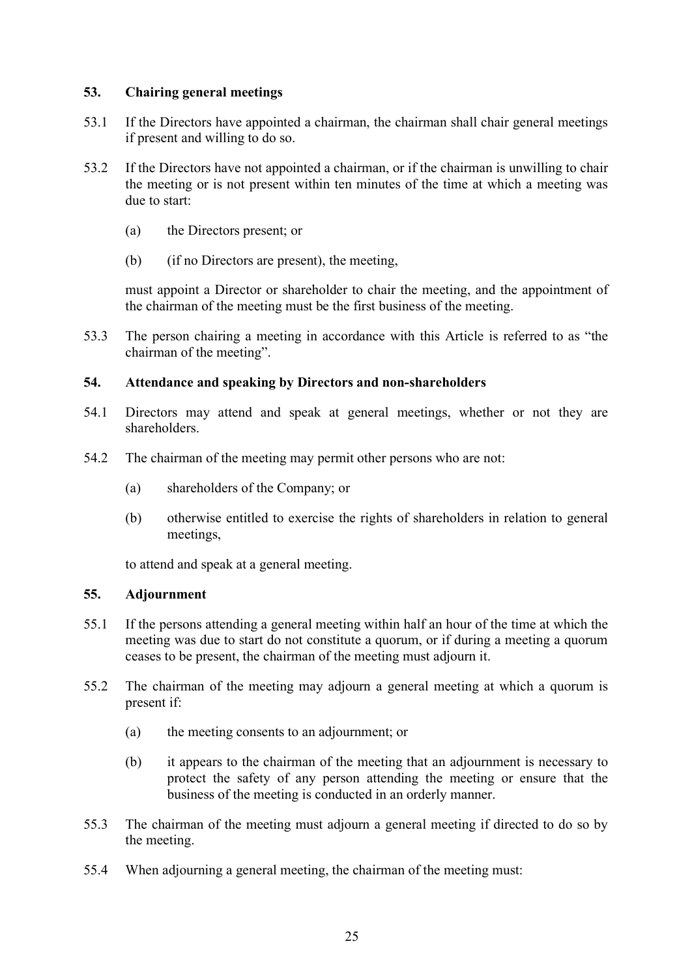# <span id="page-24-0"></span>**53. Chairing general meetings**

- 53.1 If the Directors have appointed a chairman, the chairman shall chair general meetings if present and willing to do so.
- 53.2 If the Directors have not appointed a chairman, or if the chairman is unwilling to chair the meeting or is not present within ten minutes of the time at which a meeting was due to start:
	- (a) the Directors present; or
	- (b) (if no Directors are present), the meeting,

must appoint a Director or shareholder to chair the meeting, and the appointment of the chairman of the meeting must be the first business of the meeting.

53.3 The person chairing a meeting in accordance with this Article is referred to as "the chairman of the meeting".

# <span id="page-24-1"></span>**54. Attendance and speaking by Directors and non-shareholders**

- 54.1 Directors may attend and speak at general meetings, whether or not they are shareholders.
- 54.2 The chairman of the meeting may permit other persons who are not:
	- (a) shareholders of the Company; or
	- (b) otherwise entitled to exercise the rights of shareholders in relation to general meetings,

to attend and speak at a general meeting.

# <span id="page-24-2"></span>**55. Adjournment**

- 55.1 If the persons attending a general meeting within half an hour of the time at which the meeting was due to start do not constitute a quorum, or if during a meeting a quorum ceases to be present, the chairman of the meeting must adjourn it.
- 55.2 The chairman of the meeting may adjourn a general meeting at which a quorum is present if:
	- (a) the meeting consents to an adjournment; or
	- (b) it appears to the chairman of the meeting that an adjournment is necessary to protect the safety of any person attending the meeting or ensure that the business of the meeting is conducted in an orderly manner.
- 55.3 The chairman of the meeting must adjourn a general meeting if directed to do so by the meeting.
- 55.4 When adjourning a general meeting, the chairman of the meeting must: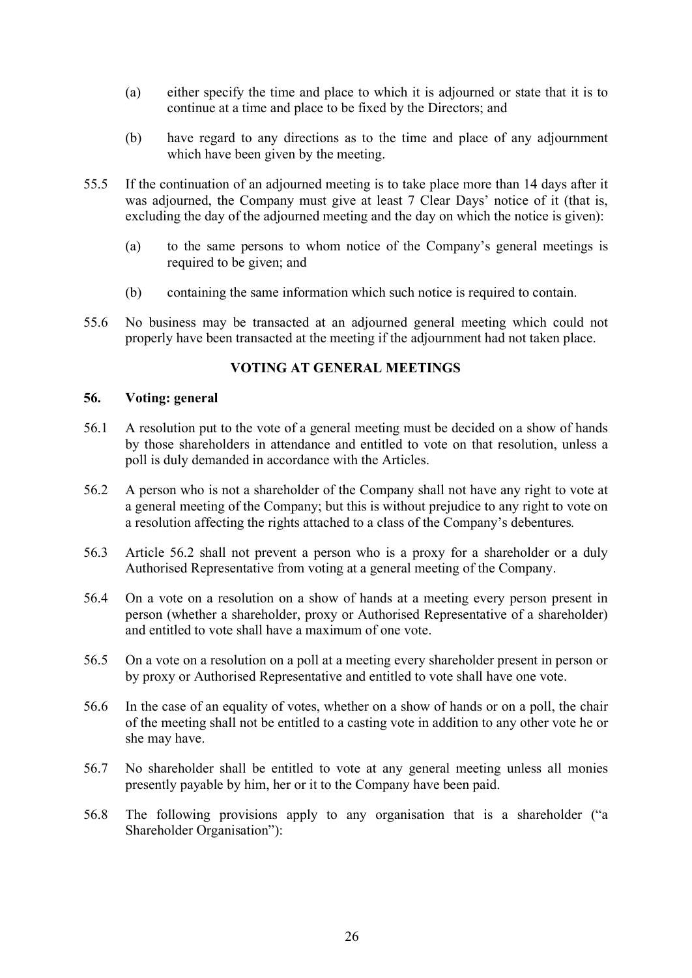- (a) either specify the time and place to which it is adjourned or state that it is to continue at a time and place to be fixed by the Directors; and
- (b) have regard to any directions as to the time and place of any adjournment which have been given by the meeting.
- 55.5 If the continuation of an adjourned meeting is to take place more than 14 days after it was adjourned, the Company must give at least 7 Clear Days' notice of it (that is, excluding the day of the adjourned meeting and the day on which the notice is given):
	- (a) to the same persons to whom notice of the Company's general meetings is required to be given; and
	- (b) containing the same information which such notice is required to contain.
- 55.6 No business may be transacted at an adjourned general meeting which could not properly have been transacted at the meeting if the adjournment had not taken place.

# **VOTING AT GENERAL MEETINGS**

#### <span id="page-25-1"></span><span id="page-25-0"></span>**56. Voting: general**

- 56.1 A resolution put to the vote of a general meeting must be decided on a show of hands by those shareholders in attendance and entitled to vote on that resolution, unless a poll is duly demanded in accordance with the Articles.
- <span id="page-25-2"></span>56.2 A person who is not a shareholder of the Company shall not have any right to vote at a general meeting of the Company; but this is without prejudice to any right to vote on a resolution affecting the rights attached to a class of the Company's debentures*.*
- 56.3 Article [56.2](#page-25-2) shall not prevent a person who is a proxy for a shareholder or a duly Authorised Representative from voting at a general meeting of the Company.
- 56.4 On a vote on a resolution on a show of hands at a meeting every person present in person (whether a shareholder, proxy or Authorised Representative of a shareholder) and entitled to vote shall have a maximum of one vote.
- 56.5 On a vote on a resolution on a poll at a meeting every shareholder present in person or by proxy or Authorised Representative and entitled to vote shall have one vote.
- 56.6 In the case of an equality of votes, whether on a show of hands or on a poll, the chair of the meeting shall not be entitled to a casting vote in addition to any other vote he or she may have.
- 56.7 No shareholder shall be entitled to vote at any general meeting unless all monies presently payable by him, her or it to the Company have been paid.
- <span id="page-25-3"></span>56.8 The following provisions apply to any organisation that is a shareholder ("a Shareholder Organisation"):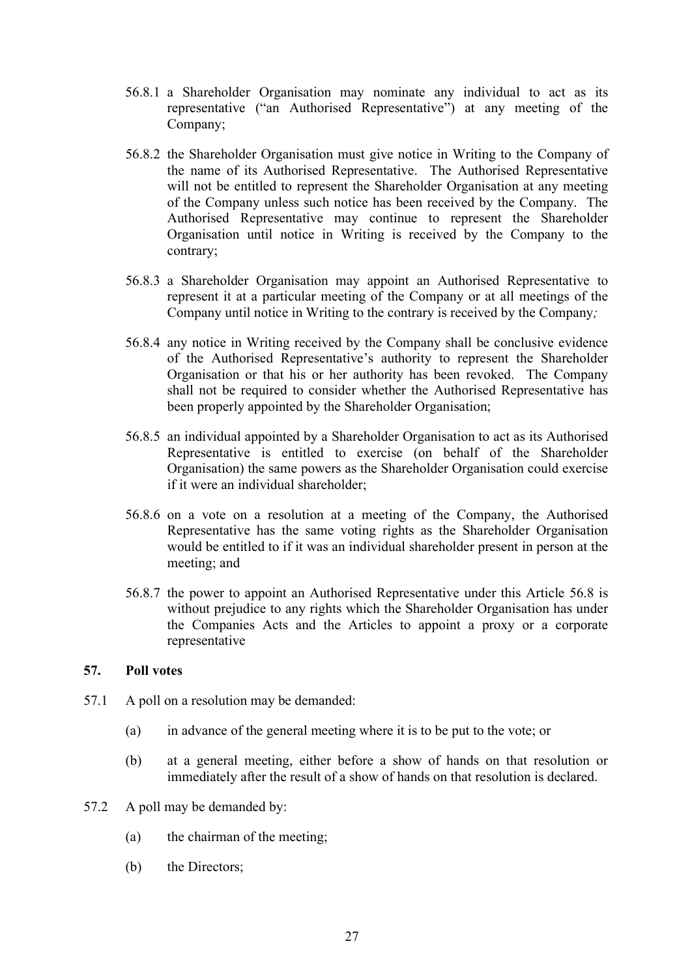- 56.8.1 a Shareholder Organisation may nominate any individual to act as its representative ("an Authorised Representative") at any meeting of the Company;
- 56.8.2 the Shareholder Organisation must give notice in Writing to the Company of the name of its Authorised Representative. The Authorised Representative will not be entitled to represent the Shareholder Organisation at any meeting of the Company unless such notice has been received by the Company. The Authorised Representative may continue to represent the Shareholder Organisation until notice in Writing is received by the Company to the contrary;
- 56.8.3 a Shareholder Organisation may appoint an Authorised Representative to represent it at a particular meeting of the Company or at all meetings of the Company until notice in Writing to the contrary is received by the Company*;*
- 56.8.4 any notice in Writing received by the Company shall be conclusive evidence of the Authorised Representative's authority to represent the Shareholder Organisation or that his or her authority has been revoked. The Company shall not be required to consider whether the Authorised Representative has been properly appointed by the Shareholder Organisation;
- 56.8.5 an individual appointed by a Shareholder Organisation to act as its Authorised Representative is entitled to exercise (on behalf of the Shareholder Organisation) the same powers as the Shareholder Organisation could exercise if it were an individual shareholder;
- 56.8.6 on a vote on a resolution at a meeting of the Company, the Authorised Representative has the same voting rights as the Shareholder Organisation would be entitled to if it was an individual shareholder present in person at the meeting; and
- 56.8.7 the power to appoint an Authorised Representative under this Article [56.8](#page-25-3) is without prejudice to any rights which the Shareholder Organisation has under the Companies Acts and the Articles to appoint a proxy or a corporate representative

# <span id="page-26-0"></span>**57. Poll votes**

- 57.1 A poll on a resolution may be demanded:
	- (a) in advance of the general meeting where it is to be put to the vote; or
	- (b) at a general meeting, either before a show of hands on that resolution or immediately after the result of a show of hands on that resolution is declared.
- 57.2 A poll may be demanded by:
	- (a) the chairman of the meeting;
	- (b) the Directors;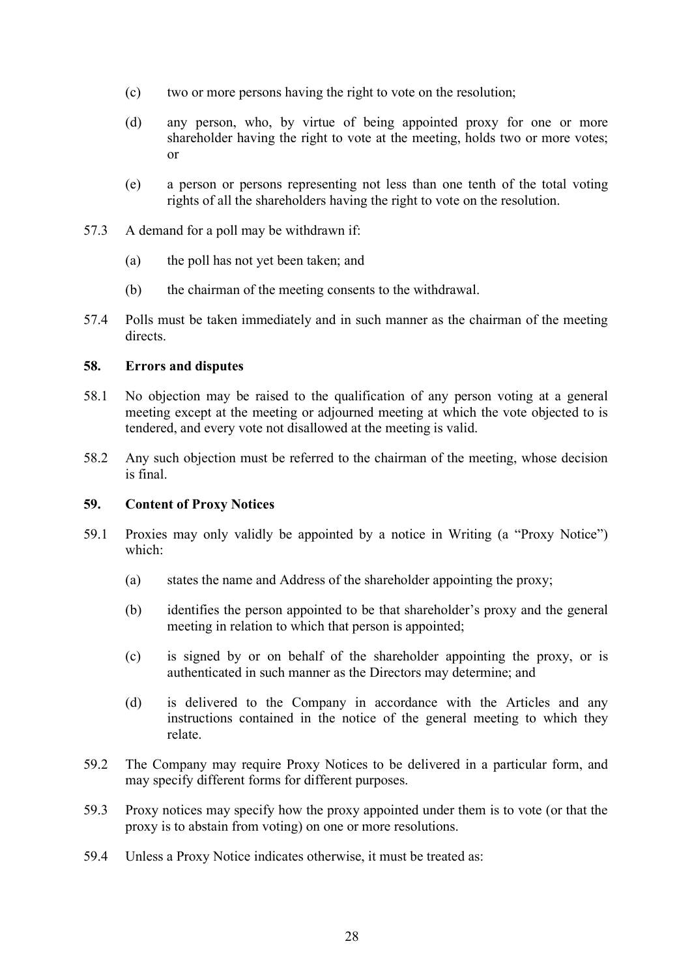- (c) two or more persons having the right to vote on the resolution;
- (d) any person, who, by virtue of being appointed proxy for one or more shareholder having the right to vote at the meeting, holds two or more votes; or
- (e) a person or persons representing not less than one tenth of the total voting rights of all the shareholders having the right to vote on the resolution.
- 57.3 A demand for a poll may be withdrawn if:
	- (a) the poll has not yet been taken; and
	- (b) the chairman of the meeting consents to the withdrawal.
- 57.4 Polls must be taken immediately and in such manner as the chairman of the meeting directs.

# <span id="page-27-0"></span>**58. Errors and disputes**

- 58.1 No objection may be raised to the qualification of any person voting at a general meeting except at the meeting or adjourned meeting at which the vote objected to is tendered, and every vote not disallowed at the meeting is valid.
- 58.2 Any such objection must be referred to the chairman of the meeting, whose decision is final.

# <span id="page-27-1"></span>**59. Content of Proxy Notices**

- 59.1 Proxies may only validly be appointed by a notice in Writing (a "Proxy Notice") which:
	- (a) states the name and Address of the shareholder appointing the proxy;
	- (b) identifies the person appointed to be that shareholder's proxy and the general meeting in relation to which that person is appointed;
	- (c) is signed by or on behalf of the shareholder appointing the proxy, or is authenticated in such manner as the Directors may determine; and
	- (d) is delivered to the Company in accordance with the Articles and any instructions contained in the notice of the general meeting to which they relate.
- 59.2 The Company may require Proxy Notices to be delivered in a particular form, and may specify different forms for different purposes.
- 59.3 Proxy notices may specify how the proxy appointed under them is to vote (or that the proxy is to abstain from voting) on one or more resolutions.
- 59.4 Unless a Proxy Notice indicates otherwise, it must be treated as: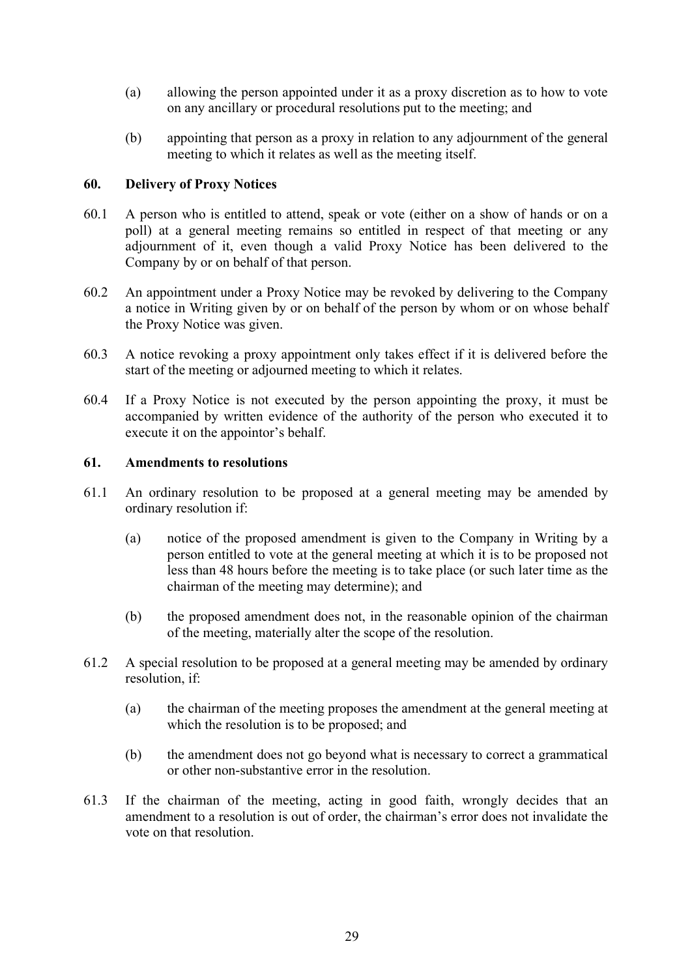- (a) allowing the person appointed under it as a proxy discretion as to how to vote on any ancillary or procedural resolutions put to the meeting; and
- (b) appointing that person as a proxy in relation to any adjournment of the general meeting to which it relates as well as the meeting itself.

# <span id="page-28-0"></span>**60. Delivery of Proxy Notices**

- 60.1 A person who is entitled to attend, speak or vote (either on a show of hands or on a poll) at a general meeting remains so entitled in respect of that meeting or any adjournment of it, even though a valid Proxy Notice has been delivered to the Company by or on behalf of that person.
- 60.2 An appointment under a Proxy Notice may be revoked by delivering to the Company a notice in Writing given by or on behalf of the person by whom or on whose behalf the Proxy Notice was given.
- 60.3 A notice revoking a proxy appointment only takes effect if it is delivered before the start of the meeting or adjourned meeting to which it relates.
- 60.4 If a Proxy Notice is not executed by the person appointing the proxy, it must be accompanied by written evidence of the authority of the person who executed it to execute it on the appointor's behalf.

# <span id="page-28-1"></span>**61. Amendments to resolutions**

- 61.1 An ordinary resolution to be proposed at a general meeting may be amended by ordinary resolution if:
	- (a) notice of the proposed amendment is given to the Company in Writing by a person entitled to vote at the general meeting at which it is to be proposed not less than 48 hours before the meeting is to take place (or such later time as the chairman of the meeting may determine); and
	- (b) the proposed amendment does not, in the reasonable opinion of the chairman of the meeting, materially alter the scope of the resolution.
- 61.2 A special resolution to be proposed at a general meeting may be amended by ordinary resolution, if:
	- (a) the chairman of the meeting proposes the amendment at the general meeting at which the resolution is to be proposed; and
	- (b) the amendment does not go beyond what is necessary to correct a grammatical or other non-substantive error in the resolution.
- 61.3 If the chairman of the meeting, acting in good faith, wrongly decides that an amendment to a resolution is out of order, the chairman's error does not invalidate the vote on that resolution.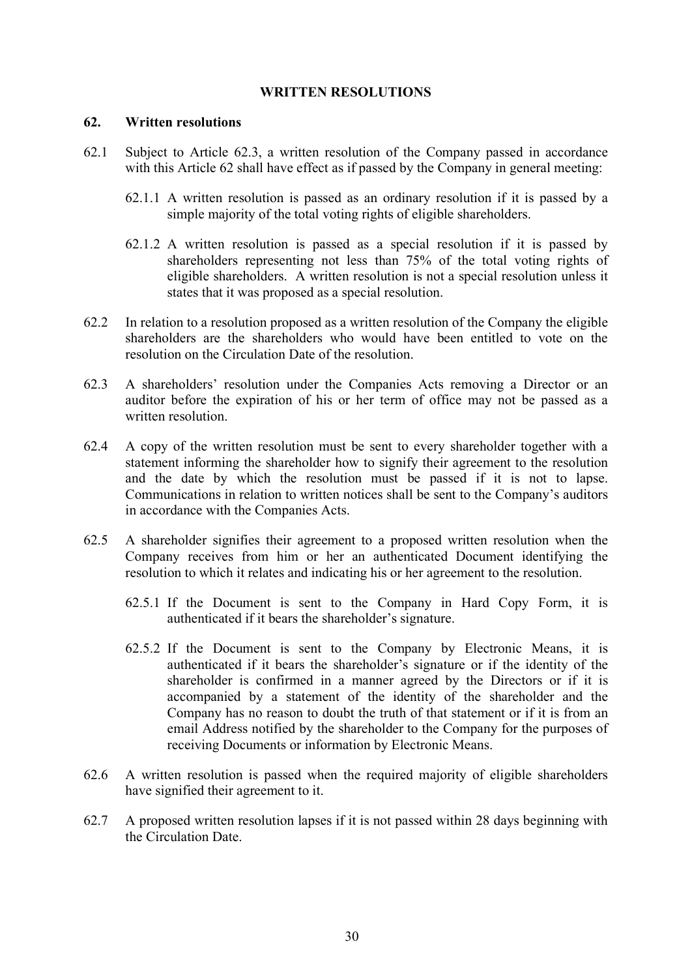# **WRITTEN RESOLUTIONS**

#### <span id="page-29-1"></span><span id="page-29-0"></span>**62. Written resolutions**

- 62.1 Subject to Article [62.3,](#page-29-2) a written resolution of the Company passed in accordance with this Article [62](#page-29-1) shall have effect as if passed by the Company in general meeting:
	- 62.1.1 A written resolution is passed as an ordinary resolution if it is passed by a simple majority of the total voting rights of eligible shareholders.
	- 62.1.2 A written resolution is passed as a special resolution if it is passed by shareholders representing not less than 75% of the total voting rights of eligible shareholders. A written resolution is not a special resolution unless it states that it was proposed as a special resolution.
- 62.2 In relation to a resolution proposed as a written resolution of the Company the eligible shareholders are the shareholders who would have been entitled to vote on the resolution on the Circulation Date of the resolution.
- <span id="page-29-2"></span>62.3 A shareholders' resolution under the Companies Acts removing a Director or an auditor before the expiration of his or her term of office may not be passed as a written resolution.
- 62.4 A copy of the written resolution must be sent to every shareholder together with a statement informing the shareholder how to signify their agreement to the resolution and the date by which the resolution must be passed if it is not to lapse. Communications in relation to written notices shall be sent to the Company's auditors in accordance with the Companies Acts.
- 62.5 A shareholder signifies their agreement to a proposed written resolution when the Company receives from him or her an authenticated Document identifying the resolution to which it relates and indicating his or her agreement to the resolution.
	- 62.5.1 If the Document is sent to the Company in Hard Copy Form, it is authenticated if it bears the shareholder's signature.
	- 62.5.2 If the Document is sent to the Company by Electronic Means, it is authenticated if it bears the shareholder's signature or if the identity of the shareholder is confirmed in a manner agreed by the Directors or if it is accompanied by a statement of the identity of the shareholder and the Company has no reason to doubt the truth of that statement or if it is from an email Address notified by the shareholder to the Company for the purposes of receiving Documents or information by Electronic Means.
- 62.6 A written resolution is passed when the required majority of eligible shareholders have signified their agreement to it.
- 62.7 A proposed written resolution lapses if it is not passed within 28 days beginning with the Circulation Date.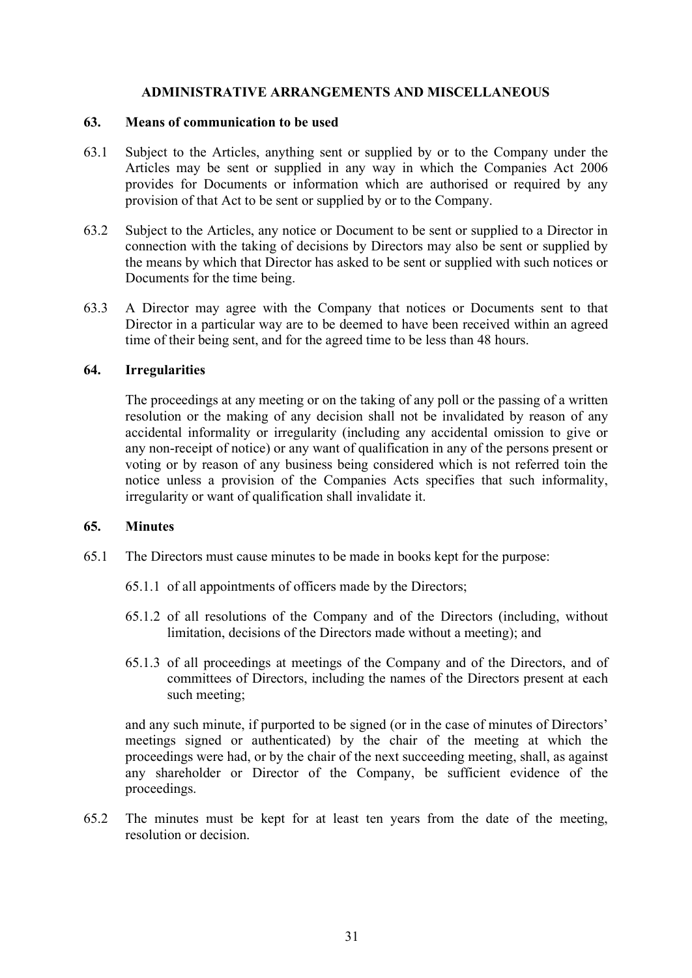# **ADMINISTRATIVE ARRANGEMENTS AND MISCELLANEOUS**

#### <span id="page-30-1"></span><span id="page-30-0"></span>**63. Means of communication to be used**

- 63.1 Subject to the Articles, anything sent or supplied by or to the Company under the Articles may be sent or supplied in any way in which the Companies Act 2006 provides for Documents or information which are authorised or required by any provision of that Act to be sent or supplied by or to the Company.
- 63.2 Subject to the Articles, any notice or Document to be sent or supplied to a Director in connection with the taking of decisions by Directors may also be sent or supplied by the means by which that Director has asked to be sent or supplied with such notices or Documents for the time being.
- 63.3 A Director may agree with the Company that notices or Documents sent to that Director in a particular way are to be deemed to have been received within an agreed time of their being sent, and for the agreed time to be less than 48 hours.

# <span id="page-30-2"></span>**64. Irregularities**

The proceedings at any meeting or on the taking of any poll or the passing of a written resolution or the making of any decision shall not be invalidated by reason of any accidental informality or irregularity (including any accidental omission to give or any non-receipt of notice) or any want of qualification in any of the persons present or voting or by reason of any business being considered which is not referred toin the notice unless a provision of the Companies Acts specifies that such informality, irregularity or want of qualification shall invalidate it.

# <span id="page-30-3"></span>**65. Minutes**

- 65.1 The Directors must cause minutes to be made in books kept for the purpose:
	- 65.1.1 of all appointments of officers made by the Directors;
	- 65.1.2 of all resolutions of the Company and of the Directors (including, without limitation, decisions of the Directors made without a meeting); and
	- 65.1.3 of all proceedings at meetings of the Company and of the Directors, and of committees of Directors, including the names of the Directors present at each such meeting;

and any such minute, if purported to be signed (or in the case of minutes of Directors' meetings signed or authenticated) by the chair of the meeting at which the proceedings were had, or by the chair of the next succeeding meeting, shall, as against any shareholder or Director of the Company, be sufficient evidence of the proceedings.

65.2 The minutes must be kept for at least ten years from the date of the meeting, resolution or decision.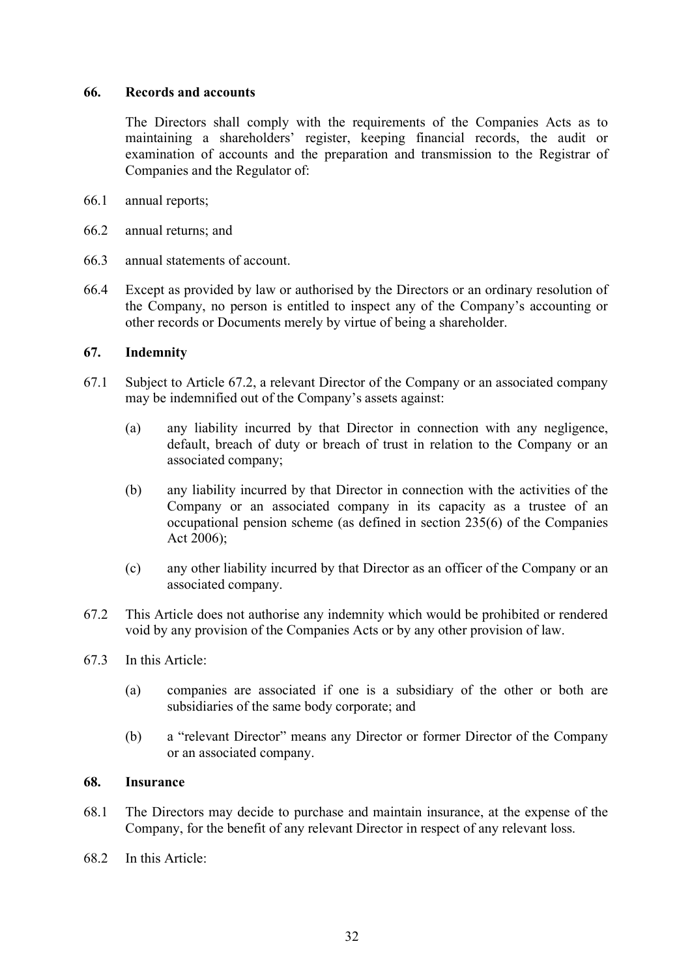## <span id="page-31-0"></span>**66. Records and accounts**

The Directors shall comply with the requirements of the Companies Acts as to maintaining a shareholders' register, keeping financial records, the audit or examination of accounts and the preparation and transmission to the Registrar of Companies and the Regulator of:

- 66.1 annual reports;
- 66.2 annual returns; and
- 66.3 annual statements of account.
- 66.4 Except as provided by law or authorised by the Directors or an ordinary resolution of the Company, no person is entitled to inspect any of the Company's accounting or other records or Documents merely by virtue of being a shareholder.

#### <span id="page-31-1"></span>**67. Indemnity**

- 67.1 Subject to Article [67.2,](#page-31-3) a relevant Director of the Company or an associated company may be indemnified out of the Company's assets against:
	- (a) any liability incurred by that Director in connection with any negligence, default, breach of duty or breach of trust in relation to the Company or an associated company;
	- (b) any liability incurred by that Director in connection with the activities of the Company or an associated company in its capacity as a trustee of an occupational pension scheme (as defined in section 235(6) of the Companies Act 2006);
	- (c) any other liability incurred by that Director as an officer of the Company or an associated company.
- <span id="page-31-3"></span>67.2 This Article does not authorise any indemnity which would be prohibited or rendered void by any provision of the Companies Acts or by any other provision of law.
- 67.3 In this Article:
	- (a) companies are associated if one is a subsidiary of the other or both are subsidiaries of the same body corporate; and
	- (b) a "relevant Director" means any Director or former Director of the Company or an associated company.

#### <span id="page-31-2"></span>**68. Insurance**

- 68.1 The Directors may decide to purchase and maintain insurance, at the expense of the Company, for the benefit of any relevant Director in respect of any relevant loss.
- 68.2 In this Article: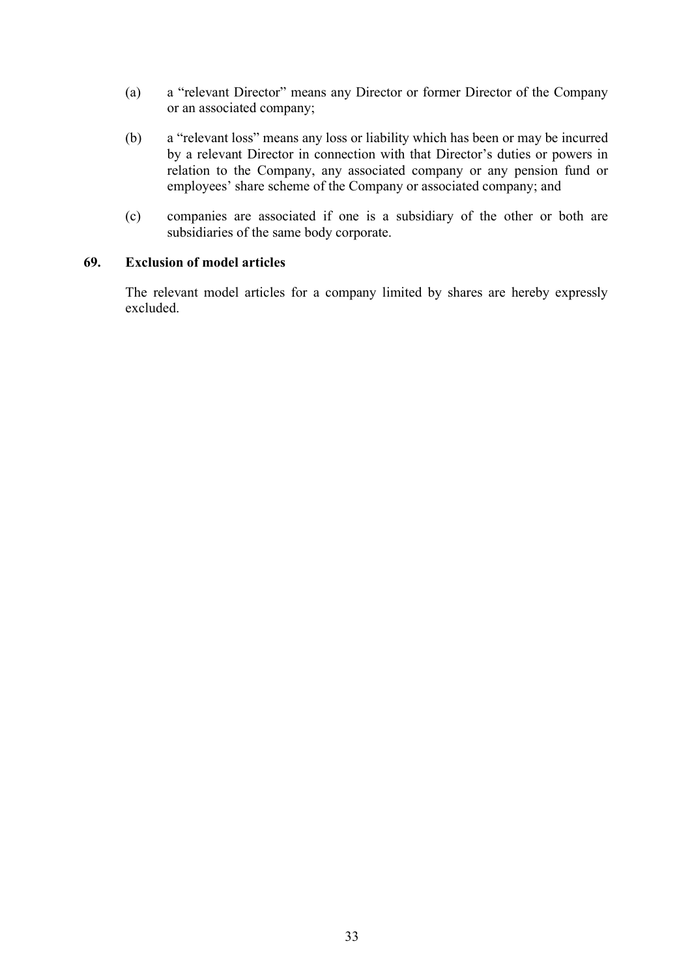- (a) a "relevant Director" means any Director or former Director of the Company or an associated company;
- (b) a "relevant loss" means any loss or liability which has been or may be incurred by a relevant Director in connection with that Director's duties or powers in relation to the Company, any associated company or any pension fund or employees' share scheme of the Company or associated company; and
- (c) companies are associated if one is a subsidiary of the other or both are subsidiaries of the same body corporate.

# <span id="page-32-0"></span>**69. Exclusion of model articles**

The relevant model articles for a company limited by shares are hereby expressly excluded.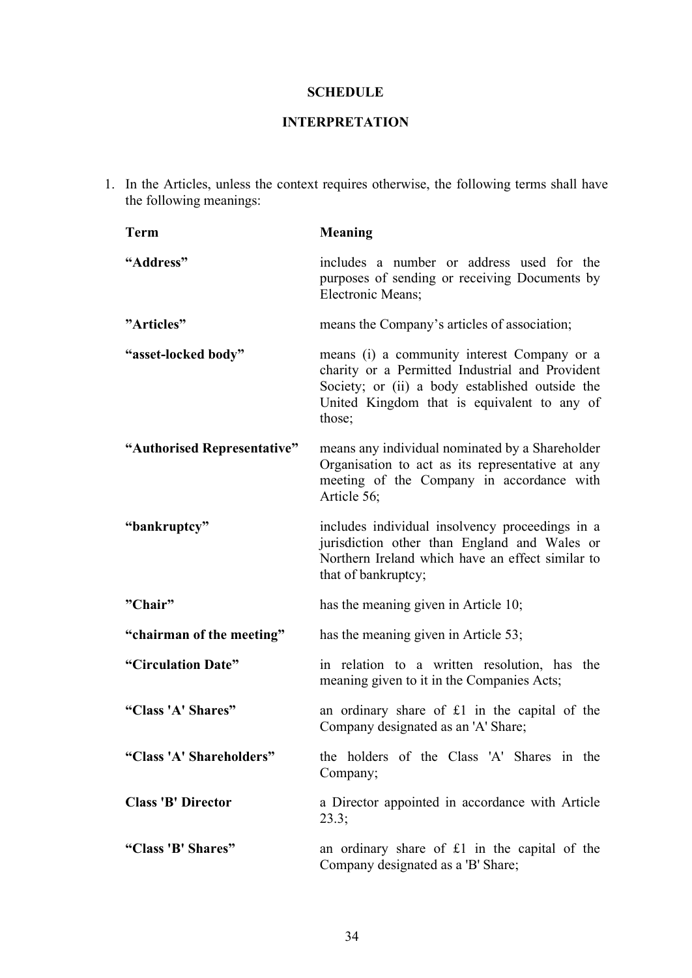# **SCHEDULE**

# **INTERPRETATION**

<span id="page-33-0"></span>1. In the Articles, unless the context requires otherwise, the following terms shall have the following meanings:

| <b>Term</b>                 | <b>Meaning</b>                                                                                                                                                                                             |
|-----------------------------|------------------------------------------------------------------------------------------------------------------------------------------------------------------------------------------------------------|
| "Address"                   | includes a number or address used for the<br>purposes of sending or receiving Documents by<br><b>Electronic Means;</b>                                                                                     |
| "Articles"                  | means the Company's articles of association;                                                                                                                                                               |
| "asset-locked body"         | means (i) a community interest Company or a<br>charity or a Permitted Industrial and Provident<br>Society; or (ii) a body established outside the<br>United Kingdom that is equivalent to any of<br>those; |
| "Authorised Representative" | means any individual nominated by a Shareholder<br>Organisation to act as its representative at any<br>meeting of the Company in accordance with<br>Article 56;                                            |
| "bankruptcy"                | includes individual insolvency proceedings in a<br>jurisdiction other than England and Wales or<br>Northern Ireland which have an effect similar to<br>that of bankruptcy;                                 |
| "Chair"                     | has the meaning given in Article 10;                                                                                                                                                                       |
| "chairman of the meeting"   | has the meaning given in Article 53;                                                                                                                                                                       |
| "Circulation Date"          | in relation to a written resolution, has the<br>meaning given to it in the Companies Acts;                                                                                                                 |
| "Class 'A' Shares"          | an ordinary share of $£1$ in the capital of the<br>Company designated as an 'A' Share;                                                                                                                     |
| "Class 'A' Shareholders"    | the holders of the Class 'A' Shares in the<br>Company;                                                                                                                                                     |
| <b>Class 'B' Director</b>   | a Director appointed in accordance with Article<br>23.3;                                                                                                                                                   |
| "Class 'B' Shares"          | an ordinary share of $£1$ in the capital of the<br>Company designated as a 'B' Share;                                                                                                                      |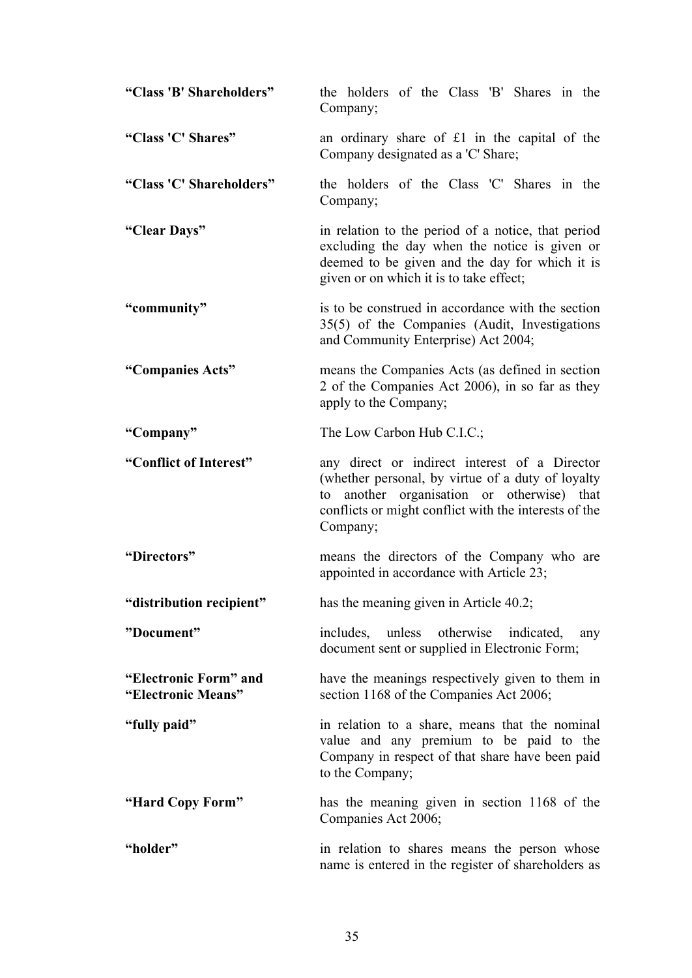| "Class 'B' Shareholders"                    | the holders of the Class 'B' Shares in the<br>Company;                                                                                                                                                                |
|---------------------------------------------|-----------------------------------------------------------------------------------------------------------------------------------------------------------------------------------------------------------------------|
| "Class 'C' Shares"                          | an ordinary share of £1 in the capital of the<br>Company designated as a 'C' Share;                                                                                                                                   |
| "Class 'C' Shareholders"                    | the holders of the Class 'C' Shares in the<br>Company;                                                                                                                                                                |
| "Clear Days"                                | in relation to the period of a notice, that period<br>excluding the day when the notice is given or<br>deemed to be given and the day for which it is<br>given or on which it is to take effect;                      |
| "community"                                 | is to be construed in accordance with the section<br>35(5) of the Companies (Audit, Investigations<br>and Community Enterprise) Act 2004;                                                                             |
| "Companies Acts"                            | means the Companies Acts (as defined in section<br>2 of the Companies Act 2006), in so far as they<br>apply to the Company;                                                                                           |
| "Company"                                   | The Low Carbon Hub C.I.C.;                                                                                                                                                                                            |
| "Conflict of Interest"                      | any direct or indirect interest of a Director<br>(whether personal, by virtue of a duty of loyalty<br>to another organisation or otherwise) that<br>conflicts or might conflict with the interests of the<br>Company; |
| "Directors"                                 | means the directors of the Company who are<br>appointed in accordance with Article 23;                                                                                                                                |
| "distribution recipient"                    | has the meaning given in Article 40.2;                                                                                                                                                                                |
| "Document"                                  | unless<br>otherwise<br>includes,<br>indicated,<br>any<br>document sent or supplied in Electronic Form;                                                                                                                |
| "Electronic Form" and<br>"Electronic Means" | have the meanings respectively given to them in<br>section 1168 of the Companies Act 2006;                                                                                                                            |
| "fully paid"                                | in relation to a share, means that the nominal<br>value and any premium to be paid to the<br>Company in respect of that share have been paid<br>to the Company;                                                       |
| "Hard Copy Form"                            | has the meaning given in section 1168 of the<br>Companies Act 2006;                                                                                                                                                   |
| "holder"                                    | in relation to shares means the person whose<br>name is entered in the register of shareholders as                                                                                                                    |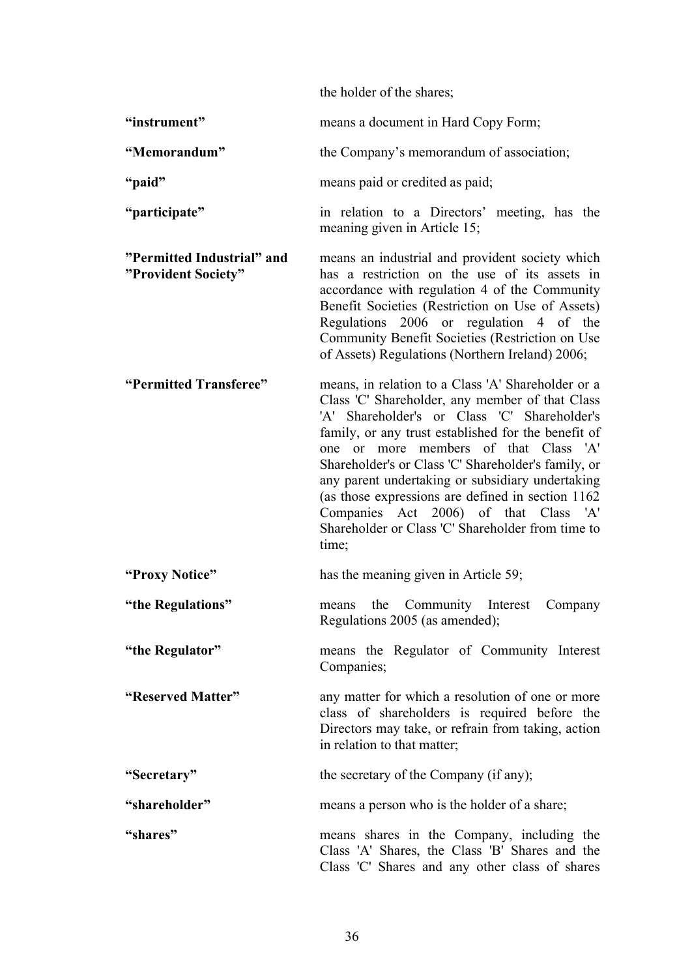the holder of the shares; **"instrument"** means a document in Hard Copy Form; **"Memorandum"** the Company's memorandum of association; **"paid"** means paid or credited as paid; **"participate"** in relation to a Directors' meeting, has the meaning given in Article 15; **"Permitted Industrial" and "Provident Society"** means an industrial and provident society which has a restriction on the use of its assets in accordance with regulation 4 of the Community Benefit Societies (Restriction on Use of Assets) Regulations 2006 or regulation 4 of the Community Benefit Societies (Restriction on Use of Assets) Regulations (Northern Ireland) 2006; **"Permitted Transferee"** means, in relation to a Class 'A' Shareholder or a Class 'C' Shareholder, any member of that Class 'A' Shareholder's or Class 'C' Shareholder's family, or any trust established for the benefit of one or more members of that Class 'A' Shareholder's or Class 'C' Shareholder's family, or any parent undertaking or subsidiary undertaking (as those expressions are defined in section 1162 Companies Act 2006) of that Class 'A' Shareholder or Class 'C' Shareholder from time to time; **"Proxy Notice"** has the meaning given in Article 59; **"the Regulations"** means the Community Interest Company Regulations 2005 (as amended); **"the Regulator"** means the Regulator of Community Interest Companies; **"Reserved Matter"** any matter for which a resolution of one or more class of shareholders is required before the Directors may take, or refrain from taking, action in relation to that matter; **"Secretary"** the secretary of the Company (if any); **"shareholder"** means a person who is the holder of a share; **"shares"** means shares in the Company, including the Class 'A' Shares, the Class 'B' Shares and the

Class 'C' Shares and any other class of shares